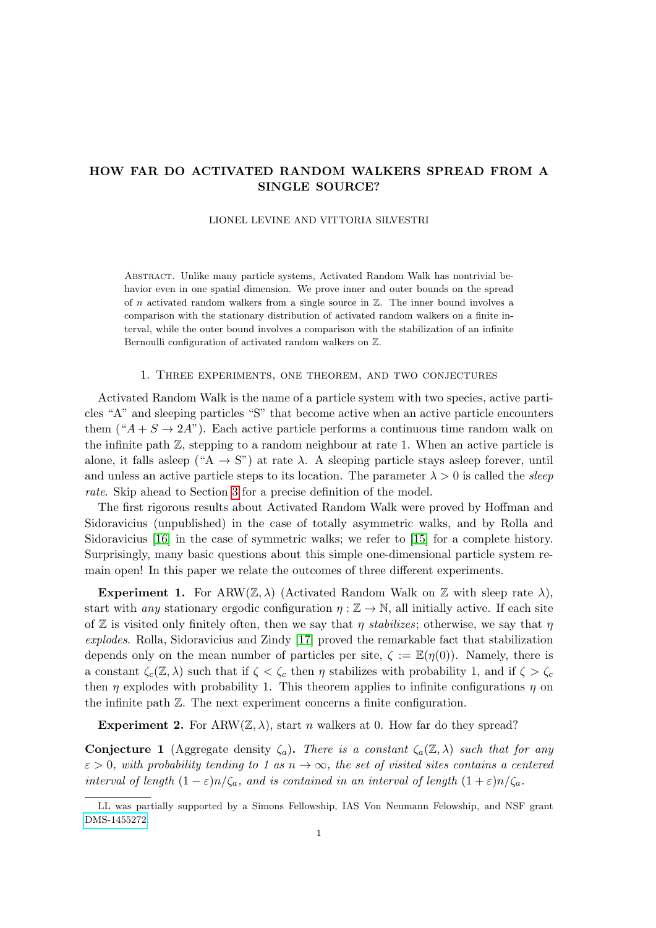# HOW FAR DO ACTIVATED RANDOM WALKERS SPREAD FROM A SINGLE SOURCE?

#### LIONEL LEVINE AND VITTORIA SILVESTRI

Abstract. Unlike many particle systems, Activated Random Walk has nontrivial behavior even in one spatial dimension. We prove inner and outer bounds on the spread of n activated random walkers from a single source in  $\mathbb{Z}$ . The inner bound involves a comparison with the stationary distribution of activated random walkers on a finite interval, while the outer bound involves a comparison with the stabilization of an infinite Bernoulli configuration of activated random walkers on Z.

# 1. Three experiments, one theorem, and two conjectures

Activated Random Walk is the name of a particle system with two species, active particles "A" and sleeping particles "S" that become active when an active particle encounters them (" $A + S \rightarrow 2A$ "). Each active particle performs a continuous time random walk on the infinite path  $\mathbb{Z}$ , stepping to a random neighbour at rate 1. When an active particle is alone, it falls asleep ("A  $\rightarrow$  S") at rate  $\lambda$ . A sleeping particle stays asleep forever, until and unless an active particle steps to its location. The parameter  $\lambda > 0$  is called the *sleep* rate. Skip ahead to Section [3](#page-3-0) for a precise definition of the model.

The first rigorous results about Activated Random Walk were proved by Hoffman and Sidoravicius (unpublished) in the case of totally asymmetric walks, and by Rolla and Sidoravicius [\[16\]](#page-23-0) in the case of symmetric walks; we refer to [\[15\]](#page-23-1) for a complete history. Surprisingly, many basic questions about this simple one-dimensional particle system remain open! In this paper we relate the outcomes of three different experiments.

**Experiment 1.** For ARW( $\mathbb{Z}, \lambda$ ) (Activated Random Walk on  $\mathbb{Z}$  with sleep rate  $\lambda$ ), start with any stationary ergodic configuration  $\eta : \mathbb{Z} \to \mathbb{N}$ , all initially active. If each site of Z is visited only finitely often, then we say that  $\eta$  stabilizes; otherwise, we say that  $\eta$ explodes. Rolla, Sidoravicius and Zindy [\[17\]](#page-23-2) proved the remarkable fact that stabilization depends only on the mean number of particles per site,  $\zeta := \mathbb{E}(\eta(0))$ . Namely, there is a constant  $\zeta_c(\mathbb{Z}, \lambda)$  such that if  $\zeta < \zeta_c$  then  $\eta$  stabilizes with probability 1, and if  $\zeta > \zeta_c$ then  $\eta$  explodes with probability 1. This theorem applies to infinite configurations  $\eta$  on the infinite path Z. The next experiment concerns a finite configuration.

Experiment 2. For ARW( $\mathbb{Z}, \lambda$ ), start *n* walkers at 0. How far do they spread?

**Conjecture 1** (Aggregate density  $\zeta_a$ ). There is a constant  $\zeta_a(\mathbb{Z}, \lambda)$  such that for any  $\varepsilon > 0$ , with probability tending to 1 as  $n \to \infty$ , the set of visited sites contains a centered interval of length  $(1 - \varepsilon)n/\zeta_a$ , and is contained in an interval of length  $(1 + \varepsilon)n/\zeta_a$ .

LL was partially supported by a Simons Fellowship, IAS Von Neumann Felowship, and NSF grant [DMS-1455272.](https://www.nsf.gov/awardsearch/showAward?AWD_ID=1455272)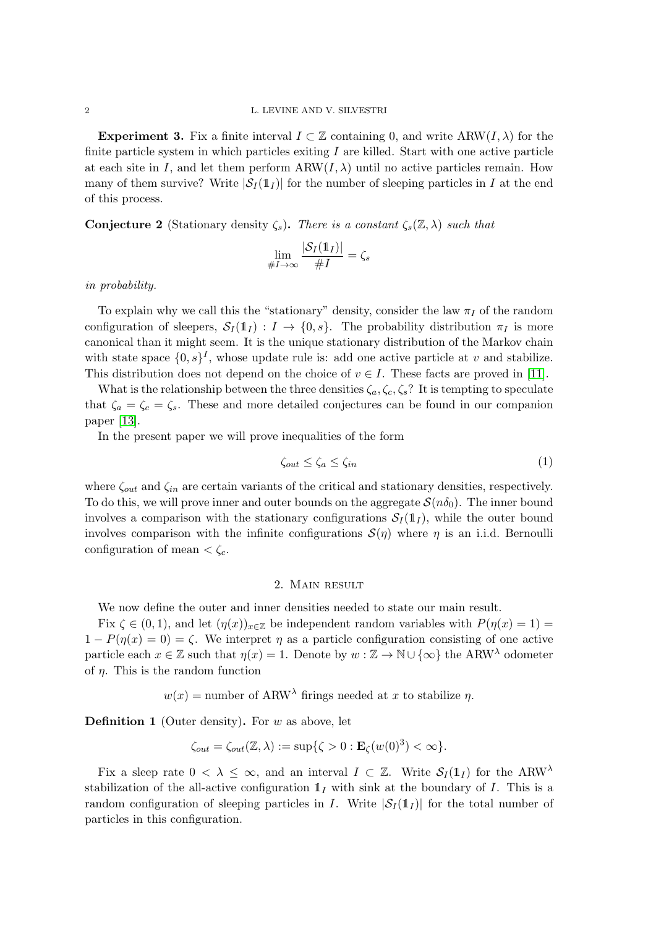**Experiment 3.** Fix a finite interval  $I \subset \mathbb{Z}$  containing 0, and write  $ARW(I, \lambda)$  for the finite particle system in which particles exiting  $I$  are killed. Start with one active particle at each site in I, and let them perform  $ARW(I, \lambda)$  until no active particles remain. How many of them survive? Write  $|\mathcal{S}_I(\mathbb{1}_I)|$  for the number of sleeping particles in I at the end of this process.

**Conjecture 2** (Stationary density  $\zeta_s$ ). There is a constant  $\zeta_s(\mathbb{Z},\lambda)$  such that

$$
\lim_{\#I\to\infty}\frac{|\mathcal{S}_I(\mathbb{1}_I)|}{\#I}=\zeta_s
$$

in probability.

To explain why we call this the "stationary" density, consider the law  $\pi_I$  of the random configuration of sleepers,  $S_I(\mathbb{1}_I) : I \to \{0, s\}$ . The probability distribution  $\pi_I$  is more canonical than it might seem. It is the unique stationary distribution of the Markov chain with state space  $\{0, s\}^I$ , whose update rule is: add one active particle at v and stabilize. This distribution does not depend on the choice of  $v \in I$ . These facts are proved in [\[11\]](#page-23-3).

What is the relationship between the three densities  $\zeta_a, \zeta_c, \zeta_s$ ? It is tempting to speculate that  $\zeta_a = \zeta_c = \zeta_s$ . These and more detailed conjectures can be found in our companion paper [\[13\]](#page-23-4).

In the present paper we will prove inequalities of the form

$$
\zeta_{out} \le \zeta_a \le \zeta_{in} \tag{1}
$$

where  $\zeta_{out}$  and  $\zeta_{in}$  are certain variants of the critical and stationary densities, respectively. To do this, we will prove inner and outer bounds on the aggregate  $\mathcal{S}(n\delta_0)$ . The inner bound involves a comparison with the stationary configurations  $S_I(1_I)$ , while the outer bound involves comparison with the infinite configurations  $\mathcal{S}(\eta)$  where  $\eta$  is an i.i.d. Bernoulli configuration of mean  $\lt \zeta_c$ .

# 2. Main result

We now define the outer and inner densities needed to state our main result.

Fix  $\zeta \in (0,1)$ , and let  $(\eta(x))_{x\in\mathbb{Z}}$  be independent random variables with  $P(\eta(x) = 1)$  $1 - P(\eta(x) = 0) = \zeta$ . We interpret  $\eta$  as a particle configuration consisting of one active particle each  $x \in \mathbb{Z}$  such that  $\eta(x) = 1$ . Denote by  $w : \mathbb{Z} \to \mathbb{N} \cup \{\infty\}$  the ARW<sup> $\lambda$ </sup> odometer of  $\eta$ . This is the random function

 $w(x)$  = number of ARW<sup> $\lambda$ </sup> firings needed at x to stabilize n.

<span id="page-1-0"></span>**Definition 1** (Outer density). For  $w$  as above, let

 $\zeta_{out} = \zeta_{out}(\mathbb{Z}, \lambda) := \sup\{\zeta > 0 : \mathbf{E}_{\zeta}(w(0)^3) < \infty\}.$ 

Fix a sleep rate  $0 < \lambda \leq \infty$ , and an interval  $I \subset \mathbb{Z}$ . Write  $\mathcal{S}_I(\mathbb{1}_I)$  for the ARW<sup> $\lambda$ </sup> stabilization of the all-active configuration  $1<sub>I</sub>$  with sink at the boundary of I. This is a random configuration of sleeping particles in I. Write  $|\mathcal{S}_I(\mathbb{1}_I)|$  for the total number of particles in this configuration.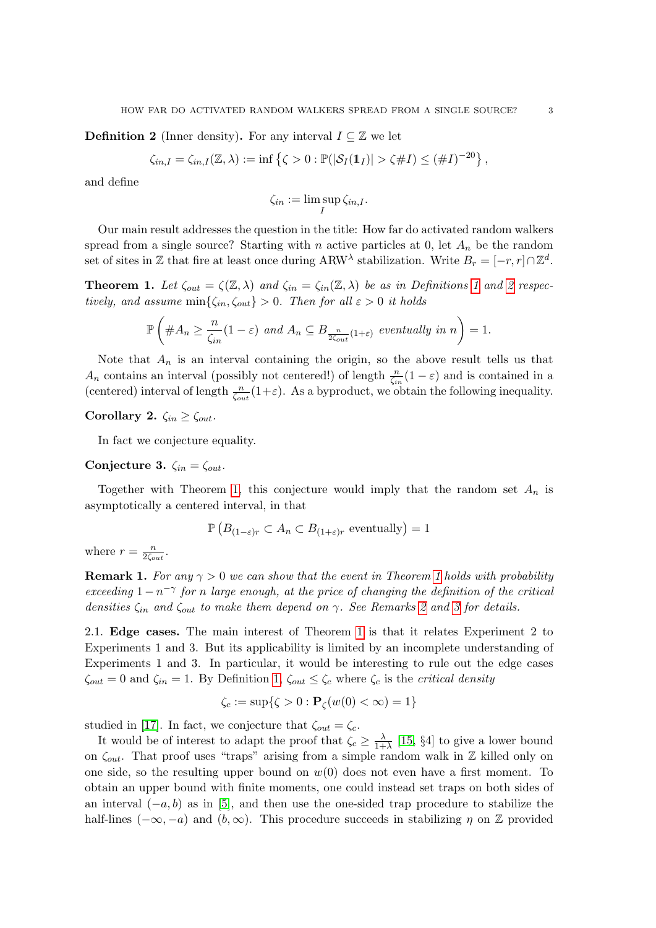<span id="page-2-0"></span>**Definition 2** (Inner density). For any interval  $I \subseteq \mathbb{Z}$  we let

$$
\zeta_{in,I} = \zeta_{in,I}(\mathbb{Z}, \lambda) := \inf \left\{ \zeta > 0 : \mathbb{P}(|\mathcal{S}_I(\mathbb{1}_I)| > \zeta \# I) \leq (\#I)^{-20} \right\},
$$

and define

$$
\zeta_{in} := \limsup_{I} \zeta_{in,I}.
$$

Our main result addresses the question in the title: How far do activated random walkers spread from a single source? Starting with n active particles at 0, let  $A_n$  be the random set of sites in Z that fire at least once during ARW<sup> $\lambda$ </sup> stabilization. Write  $B_r = [-r, r] \cap \mathbb{Z}^d$ .

<span id="page-2-1"></span>**Theorem [1](#page-1-0).** Let  $\zeta_{out} = \zeta(\mathbb{Z}, \lambda)$  and  $\zeta_{in} = \zeta_{in}(\mathbb{Z}, \lambda)$  be as in Definitions 1 and [2](#page-2-0) respectively, and assume  $\min\{\zeta_{in},\zeta_{out}\} > 0$ . Then for all  $\varepsilon > 0$  it holds

$$
\mathbb{P}\left(\#A_n \geq \frac{n}{\zeta_{in}}(1-\varepsilon) \text{ and } A_n \subseteq B_{\frac{n}{2\zeta_{out}}(1+\varepsilon)} \text{ eventually in } n\right) = 1.
$$

Note that  $A_n$  is an interval containing the origin, so the above result tells us that  $A_n$  contains an interval (possibly not centered!) of length  $\frac{n}{\zeta_{in}}(1-\varepsilon)$  and is contained in a (centered) interval of length  $\frac{n}{\zeta_{out}}(1+\varepsilon)$ . As a byproduct, we obtain the following inequality.

Corollary 2.  $\zeta_{in} \geq \zeta_{out}$ .

In fact we conjecture equality.

# Conjecture 3.  $\zeta_{in} = \zeta_{out}$ .

Together with Theorem [1,](#page-2-1) this conjecture would imply that the random set  $A_n$  is asymptotically a centered interval, in that

$$
\mathbb{P}\left(B_{(1-\varepsilon)r} \subset A_n \subset B_{(1+\varepsilon)r} \text{ eventually}\right) = 1
$$

where  $r = \frac{n}{2}$  $\frac{n}{2\zeta_{out}}.$ 

**Remark [1](#page-2-1).** For any  $\gamma > 0$  we can show that the event in Theorem 1 holds with probability exceeding  $1 - n^{-\gamma}$  for n large enough, at the price of changing the definition of the critical densities  $\zeta_{in}$  and  $\zeta_{out}$  to make them depend on  $\gamma$ . See Remarks [2](#page-15-0) and [3](#page-18-0) for details.

2.1. Edge cases. The main interest of Theorem [1](#page-2-1) is that it relates Experiment 2 to Experiments 1 and 3. But its applicability is limited by an incomplete understanding of Experiments 1 and 3. In particular, it would be interesting to rule out the edge cases  $\zeta_{out} = 0$  and  $\zeta_{in} = 1$ . By Definition [1,](#page-1-0)  $\zeta_{out} \leq \zeta_c$  where  $\zeta_c$  is the *critical density* 

$$
\zeta_c := \sup\{\zeta > 0 : \mathbf{P}_\zeta(w(0) < \infty) = 1\}
$$

studied in [\[17\]](#page-23-2). In fact, we conjecture that  $\zeta_{out} = \zeta_c$ .

It would be of interest to adapt the proof that  $\zeta_c \geq \frac{\lambda}{1+\lambda}$  $\frac{\lambda}{1+\lambda}$  [\[15,](#page-23-1) §4] to give a lower bound on  $\zeta_{out}$ . That proof uses "traps" arising from a simple random walk in Z killed only on one side, so the resulting upper bound on  $w(0)$  does not even have a first moment. To obtain an upper bound with finite moments, one could instead set traps on both sides of an interval  $(-a, b)$  as in [\[5\]](#page-23-5), and then use the one-sided trap procedure to stabilize the half-lines  $(-\infty, -a)$  and  $(b, \infty)$ . This procedure succeeds in stabilizing  $\eta$  on Z provided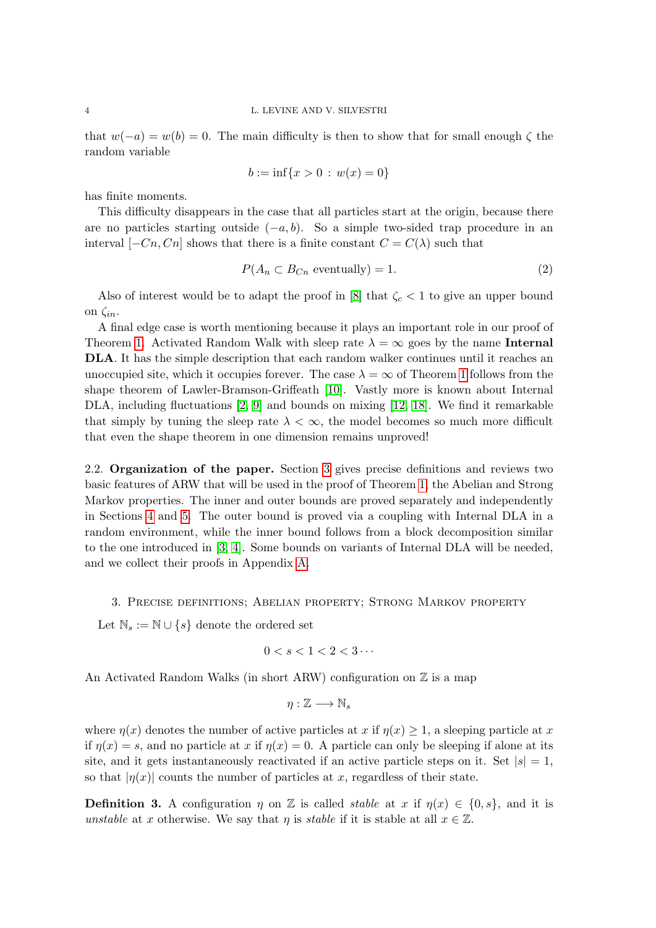#### 4 L. LEVINE AND V. SILVESTRI

that  $w(-a) = w(b) = 0$ . The main difficulty is then to show that for small enough  $\zeta$  the random variable

$$
b := \inf\{x > 0 : w(x) = 0\}
$$

has finite moments.

This difficulty disappears in the case that all particles start at the origin, because there are no particles starting outside  $(-a, b)$ . So a simple two-sided trap procedure in an interval  $[-Cn, Cn]$  shows that there is a finite constant  $C = C(\lambda)$  such that

$$
P(A_n \subset B_{C_n} \text{ eventually}) = 1. \tag{2}
$$

Also of interest would be to adapt the proof in [\[8\]](#page-23-6) that  $\zeta_c < 1$  to give an upper bound on  $\zeta_{in}$ .

A final edge case is worth mentioning because it plays an important role in our proof of Theorem [1.](#page-2-1) Activated Random Walk with sleep rate  $\lambda = \infty$  goes by the name Internal DLA. It has the simple description that each random walker continues until it reaches an unoccupied site, which it occupies forever. The case  $\lambda = \infty$  of Theorem [1](#page-2-1) follows from the shape theorem of Lawler-Bramson-Griffeath [\[10\]](#page-23-7). Vastly more is known about Internal DLA, including fluctuations [\[2,](#page-23-8) [9\]](#page-23-9) and bounds on mixing [\[12,](#page-23-10) [18\]](#page-23-11). We find it remarkable that simply by tuning the sleep rate  $\lambda < \infty$ , the model becomes so much more difficult that even the shape theorem in one dimension remains unproved!

2.2. Organization of the paper. Section [3](#page-3-0) gives precise definitions and reviews two basic features of ARW that will be used in the proof of Theorem [1,](#page-2-1) the Abelian and Strong Markov properties. The inner and outer bounds are proved separately and independently in Sections [4](#page-7-0) and [5.](#page-15-1) The outer bound is proved via a coupling with Internal DLA in a random environment, while the inner bound follows from a block decomposition similar to the one introduced in [\[3,](#page-23-12) [4\]](#page-23-13). Some bounds on variants of Internal DLA will be needed, and we collect their proofs in Appendix [A.](#page-18-1)

### <span id="page-3-0"></span>3. Precise definitions; Abelian property; Strong Markov property

Let  $\mathbb{N}_s := \mathbb{N} \cup \{s\}$  denote the ordered set

$$
0 < s < 1 < 2 < 3 \cdots
$$

An Activated Random Walks (in short ARW) configuration on  $\mathbb Z$  is a map

$$
\eta:\mathbb{Z}\longrightarrow\mathbb{N}_s
$$

where  $\eta(x)$  denotes the number of active particles at x if  $\eta(x) \geq 1$ , a sleeping particle at x if  $\eta(x) = s$ , and no particle at x if  $\eta(x) = 0$ . A particle can only be sleeping if alone at its site, and it gets instantaneously reactivated if an active particle steps on it. Set  $|s| = 1$ , so that  $|\eta(x)|$  counts the number of particles at x, regardless of their state.

**Definition 3.** A configuration  $\eta$  on Z is called *stable* at x if  $\eta(x) \in \{0, s\}$ , and it is unstable at x otherwise. We say that  $\eta$  is stable if it is stable at all  $x \in \mathbb{Z}$ .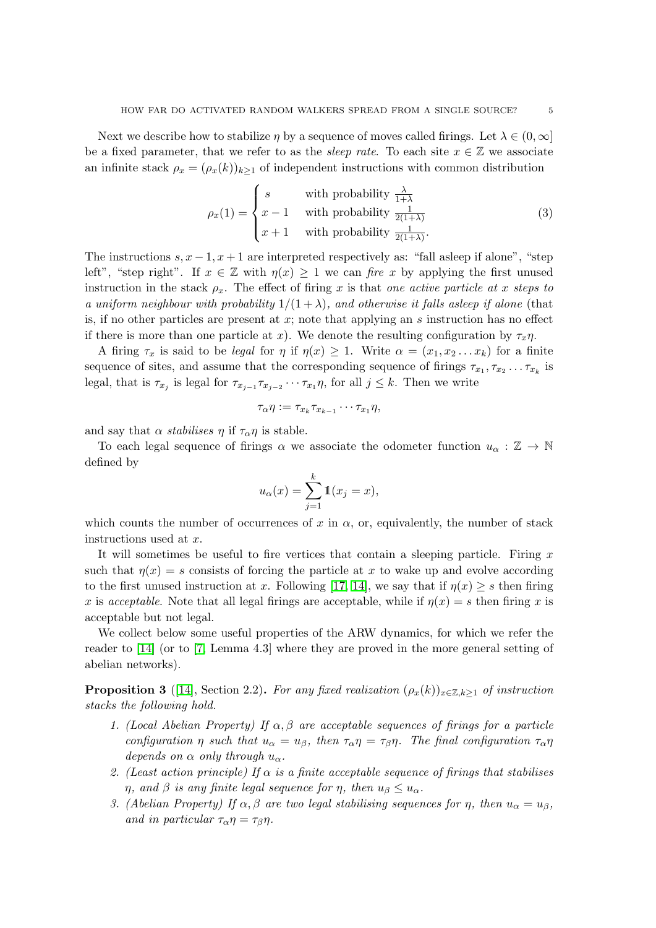Next we describe how to stabilize  $\eta$  by a sequence of moves called firings. Let  $\lambda \in (0, \infty]$ be a fixed parameter, that we refer to as the *sleep rate*. To each site  $x \in \mathbb{Z}$  we associate an infinite stack  $\rho_x = (\rho_x(k))_{k>1}$  of independent instructions with common distribution

<span id="page-4-0"></span>
$$
\rho_x(1) = \begin{cases}\ns & \text{with probability } \frac{\lambda}{1+\lambda} \\
x-1 & \text{with probability } \frac{1}{2(1+\lambda)} \\
x+1 & \text{with probability } \frac{1}{2(1+\lambda)}.\n\end{cases}
$$
\n(3)

The instructions  $s, x - 1, x + 1$  are interpreted respectively as: "fall asleep if alone", "step left", "step right". If  $x \in \mathbb{Z}$  with  $\eta(x) \geq 1$  we can fire x by applying the first unused instruction in the stack  $\rho_x$ . The effect of firing x is that one active particle at x steps to a uniform neighbour with probability  $1/(1 + \lambda)$ , and otherwise it falls asleep if alone (that is, if no other particles are present at  $x$ ; note that applying an  $s$  instruction has no effect if there is more than one particle at x). We denote the resulting configuration by  $\tau_x \eta$ .

A firing  $\tau_x$  is said to be *legal* for  $\eta$  if  $\eta(x) \geq 1$ . Write  $\alpha = (x_1, x_2, \ldots, x_k)$  for a finite sequence of sites, and assume that the corresponding sequence of firings  $\tau_{x_1}, \tau_{x_2} \ldots \tau_{x_k}$  is legal, that is  $\tau_{x_j}$  is legal for  $\tau_{x_{j-1}}\tau_{x_{j-2}}\cdots\tau_{x_1}\eta$ , for all  $j\leq k$ . Then we write

$$
\tau_{\alpha}\eta:=\tau_{x_k}\tau_{x_{k-1}}\cdots\tau_{x_1}\eta,
$$

and say that  $\alpha$  *stabilises*  $\eta$  if  $\tau_{\alpha}\eta$  is stable.

To each legal sequence of firings  $\alpha$  we associate the odometer function  $u_{\alpha} : \mathbb{Z} \to \mathbb{N}$ defined by

$$
u_{\alpha}(x) = \sum_{j=1}^{k} \mathbb{1}(x_j = x),
$$

which counts the number of occurrences of x in  $\alpha$ , or, equivalently, the number of stack instructions used at x.

It will sometimes be useful to fire vertices that contain a sleeping particle. Firing  $x$ such that  $\eta(x) = s$  consists of forcing the particle at x to wake up and evolve according to the first unused instruction at x. Following [\[17,](#page-23-2) [14\]](#page-23-14), we say that if  $\eta(x) \geq s$  then firing x is acceptable. Note that all legal firings are acceptable, while if  $\eta(x) = s$  then firing x is acceptable but not legal.

We collect below some useful properties of the ARW dynamics, for which we refer the reader to [\[14\]](#page-23-14) (or to [\[7,](#page-23-15) Lemma 4.3] where they are proved in the more general setting of abelian networks).

<span id="page-4-1"></span>**Proposition 3** ([\[14\]](#page-23-14), Section 2.2). For any fixed realization  $(\rho_x(k))_{x \in \mathbb{Z}, k \geq 1}$  of instruction stacks the following hold.

- 1. (Local Abelian Property) If  $\alpha, \beta$  are acceptable sequences of firings for a particle configuration η such that  $u_{\alpha} = u_{\beta}$ , then  $\tau_{\alpha} \eta = \tau_{\beta} \eta$ . The final configuration  $\tau_{\alpha} \eta$ depends on  $\alpha$  only through  $u_{\alpha}$ .
- 2. (Least action principle) If  $\alpha$  is a finite acceptable sequence of firings that stabilises η, and β is any finite legal sequence for η, then  $u_{\beta} \leq u_{\alpha}$ .
- 3. (Abelian Property) If  $\alpha, \beta$  are two legal stabilising sequences for  $\eta$ , then  $u_{\alpha} = u_{\beta}$ , and in particular  $\tau_{\alpha} \eta = \tau_{\beta} \eta$ .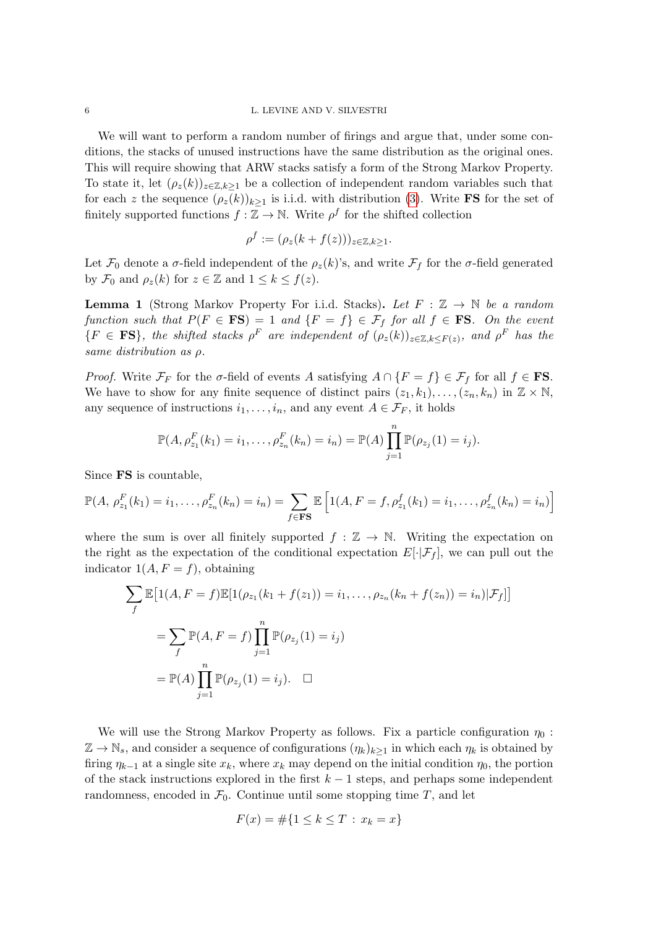#### 6 L. LEVINE AND V. SILVESTRI

We will want to perform a random number of firings and argue that, under some conditions, the stacks of unused instructions have the same distribution as the original ones. This will require showing that ARW stacks satisfy a form of the Strong Markov Property. To state it, let  $(\rho_z(k))_{z\in\mathbb{Z},k>1}$  be a collection of independent random variables such that for each z the sequence  $(\rho_z(k))_{k\geq 1}$  is i.i.d. with distribution [\(3\)](#page-4-0). Write **FS** for the set of finitely supported functions  $f : \mathbb{Z} \to \mathbb{N}$ . Write  $\rho^f$  for the shifted collection

$$
\rho^f := (\rho_z(k + f(z)))_{z \in \mathbb{Z}, k \ge 1}.
$$

Let  $\mathcal{F}_0$  denote a  $\sigma$ -field independent of the  $\rho_z(k)$ 's, and write  $\mathcal{F}_f$  for the  $\sigma$ -field generated by  $\mathcal{F}_0$  and  $\rho_z(k)$  for  $z \in \mathbb{Z}$  and  $1 \leq k \leq f(z)$ .

<span id="page-5-0"></span>**Lemma 1** (Strong Markov Property For i.i.d. Stacks). Let  $F : \mathbb{Z} \to \mathbb{N}$  be a random function such that  $P(F \in \mathbf{FS}) = 1$  and  $\{F = f\} \in \mathcal{F}_f$  for all  $f \in \mathbf{FS}$ . On the event  ${F \in \mathbf{FS}},$  the shifted stacks  $\rho^F$  are independent of  $(\rho_z(k))_{z \in \mathbb{Z}, k \leq F(z)}$ , and  $\rho^F$  has the same distribution as ρ.

*Proof.* Write  $\mathcal{F}_F$  for the  $\sigma$ -field of events A satisfying  $A \cap \{F = f\} \in \mathcal{F}_f$  for all  $f \in \mathbf{FS}$ . We have to show for any finite sequence of distinct pairs  $(z_1, k_1), \ldots, (z_n, k_n)$  in  $\mathbb{Z} \times \mathbb{N}$ , any sequence of instructions  $i_1, \ldots, i_n$ , and any event  $A \in \mathcal{F}_F$ , it holds

$$
\mathbb{P}(A, \rho_{z_1}^F(k_1) = i_1, \ldots, \rho_{z_n}^F(k_n) = i_n) = \mathbb{P}(A) \prod_{j=1}^n \mathbb{P}(\rho_{z_j}(1) = i_j).
$$

Since FS is countable,

$$
\mathbb{P}(A, \rho_{z_1}^F(k_1) = i_1, \dots, \rho_{z_n}^F(k_n) = i_n) = \sum_{f \in \mathbf{FS}} \mathbb{E}\left[1(A, F = f, \rho_{z_1}^f(k_1) = i_1, \dots, \rho_{z_n}^f(k_n) = i_n)\right]
$$

where the sum is over all finitely supported  $f : \mathbb{Z} \to \mathbb{N}$ . Writing the expectation on the right as the expectation of the conditional expectation  $E[\cdot|\mathcal{F}_f]$ , we can pull out the indicator  $1(A, F = f)$ , obtaining

$$
\sum_{f} \mathbb{E} \left[ 1(A, F = f) \mathbb{E} [1(\rho_{z_1}(k_1 + f(z_1)) = i_1, ..., \rho_{z_n}(k_n + f(z_n)) = i_n) | \mathcal{F}_f] \right]
$$
  
= 
$$
\sum_{f} \mathbb{P}(A, F = f) \prod_{j=1}^{n} \mathbb{P}(\rho_{z_j}(1) = i_j)
$$
  
= 
$$
\mathbb{P}(A) \prod_{j=1}^{n} \mathbb{P}(\rho_{z_j}(1) = i_j).
$$

We will use the Strong Markov Property as follows. Fix a particle configuration  $\eta_0$ :  $\mathbb{Z} \to \mathbb{N}_s$ , and consider a sequence of configurations  $(\eta_k)_{k\geq 1}$  in which each  $\eta_k$  is obtained by firing  $\eta_{k-1}$  at a single site  $x_k$ , where  $x_k$  may depend on the initial condition  $\eta_0$ , the portion of the stack instructions explored in the first  $k-1$  steps, and perhaps some independent randomness, encoded in  $\mathcal{F}_0$ . Continue until some stopping time T, and let

$$
F(x) = \#\{1 \le k \le T : x_k = x\}
$$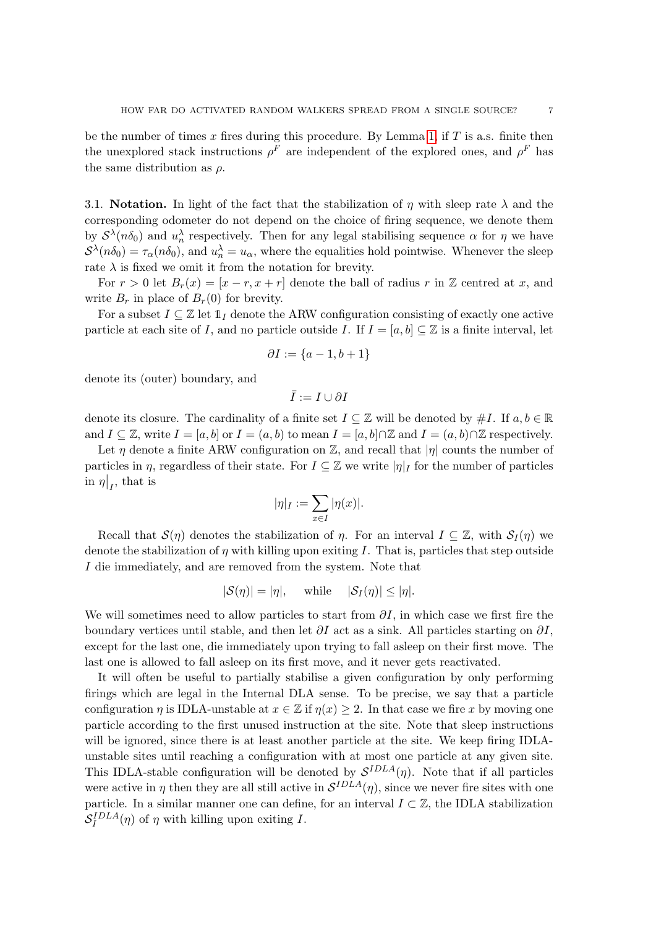be the number of times x fires during this procedure. By Lemma [1,](#page-5-0) if  $T$  is a.s. finite then the unexplored stack instructions  $\rho^F$  are independent of the explored ones, and  $\rho^F$  has the same distribution as  $\rho$ .

3.1. Notation. In light of the fact that the stabilization of  $\eta$  with sleep rate  $\lambda$  and the corresponding odometer do not depend on the choice of firing sequence, we denote them by  $S^{\lambda}(n\delta_0)$  and  $u_n^{\lambda}$  respectively. Then for any legal stabilising sequence  $\alpha$  for  $\eta$  we have  $S^{\lambda}(n\delta_0) = \tau_{\alpha}(n\delta_0)$ , and  $u_n^{\lambda} = u_{\alpha}$ , where the equalities hold pointwise. Whenever the sleep rate  $\lambda$  is fixed we omit it from the notation for brevity.

For  $r > 0$  let  $B_r(x) = [x - r, x + r]$  denote the ball of radius r in Z centred at x, and write  $B_r$  in place of  $B_r(0)$  for brevity.

For a subset  $I \subseteq \mathbb{Z}$  let  $\mathbb{1}_I$  denote the ARW configuration consisting of exactly one active particle at each site of I, and no particle outside I. If  $I = [a, b] \subseteq \mathbb{Z}$  is a finite interval, let

$$
\partial I := \{a - 1, b + 1\}
$$

denote its (outer) boundary, and

$$
\bar{I}:=I\cup\partial I
$$

denote its closure. The cardinality of a finite set  $I \subseteq \mathbb{Z}$  will be denoted by  $\#I$ . If  $a, b \in \mathbb{R}$ and  $I \subseteq \mathbb{Z}$ , write  $I = [a, b]$  or  $I = (a, b)$  to mean  $I = [a, b] \cap \mathbb{Z}$  and  $I = (a, b) \cap \mathbb{Z}$  respectively.

Let  $\eta$  denote a finite ARW configuration on Z, and recall that  $|\eta|$  counts the number of particles in  $\eta$ , regardless of their state. For  $I \subseteq \mathbb{Z}$  we write  $|\eta|_I$  for the number of particles in  $\eta|_I$ , that is

$$
|\eta|_I:=\sum_{x\in I}|\eta(x)|.
$$

Recall that  $\mathcal{S}(\eta)$  denotes the stabilization of  $\eta$ . For an interval  $I \subseteq \mathbb{Z}$ , with  $\mathcal{S}_I(\eta)$  we denote the stabilization of  $\eta$  with killing upon exiting I. That is, particles that step outside I die immediately, and are removed from the system. Note that

$$
|\mathcal{S}(\eta)| = |\eta|, \quad \text{while} \quad |\mathcal{S}_I(\eta)| \le |\eta|.
$$

We will sometimes need to allow particles to start from  $\partial I$ , in which case we first fire the boundary vertices until stable, and then let  $\partial I$  act as a sink. All particles starting on  $\partial I$ , except for the last one, die immediately upon trying to fall asleep on their first move. The last one is allowed to fall asleep on its first move, and it never gets reactivated.

It will often be useful to partially stabilise a given configuration by only performing firings which are legal in the Internal DLA sense. To be precise, we say that a particle configuration  $\eta$  is IDLA-unstable at  $x \in \mathbb{Z}$  if  $\eta(x) \geq 2$ . In that case we fire x by moving one particle according to the first unused instruction at the site. Note that sleep instructions will be ignored, since there is at least another particle at the site. We keep firing IDLAunstable sites until reaching a configuration with at most one particle at any given site. This IDLA-stable configuration will be denoted by  $S^{IDLA}(\eta)$ . Note that if all particles were active in  $\eta$  then they are all still active in  $\mathcal{S}^{IDLA}(\eta)$ , since we never fire sites with one particle. In a similar manner one can define, for an interval  $I \subset \mathbb{Z}$ , the IDLA stabilization  $S_I^{IDLA}(\eta)$  of  $\eta$  with killing upon exiting I.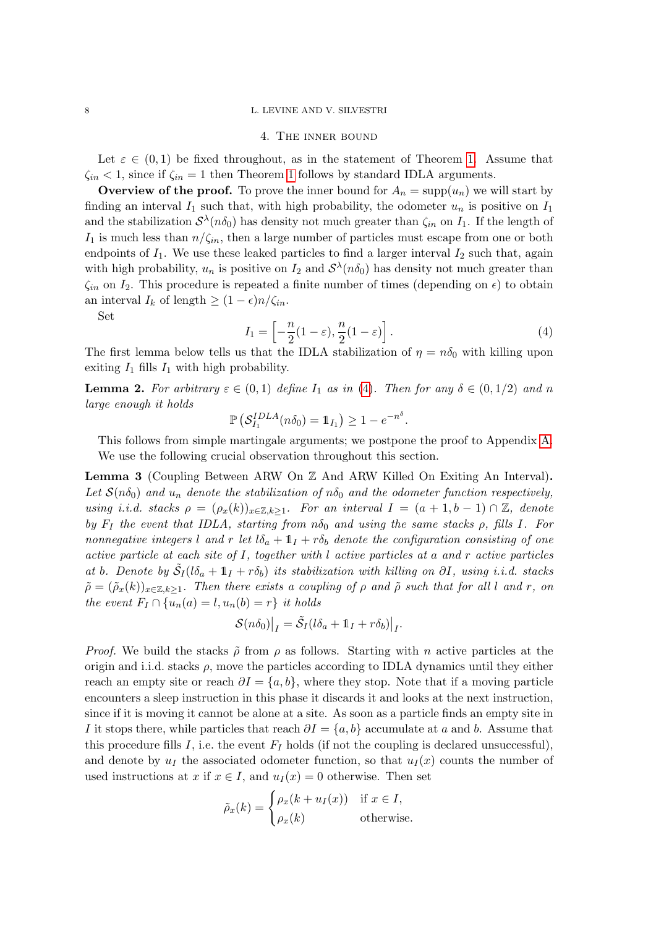#### <span id="page-7-0"></span>8 L. LEVINE AND V. SILVESTRI

# 4. The inner bound

Let  $\varepsilon \in (0,1)$  be fixed throughout, as in the statement of Theorem [1.](#page-2-1) Assume that  $\zeta_{in}$  < [1](#page-2-1), since if  $\zeta_{in}$  = 1 then Theorem 1 follows by standard IDLA arguments.

**Overview of the proof.** To prove the inner bound for  $A_n = \text{supp}(u_n)$  we will start by finding an interval  $I_1$  such that, with high probability, the odometer  $u_n$  is positive on  $I_1$ and the stabilization  $S^{\lambda}(n\delta_0)$  has density not much greater than  $\zeta_{in}$  on  $I_1$ . If the length of  $I_1$  is much less than  $n/\zeta_{in}$ , then a large number of particles must escape from one or both endpoints of  $I_1$ . We use these leaked particles to find a larger interval  $I_2$  such that, again with high probability,  $u_n$  is positive on  $I_2$  and  $\mathcal{S}^{\lambda}(n\delta_0)$  has density not much greater than  $\zeta_{in}$  on  $I_2$ . This procedure is repeated a finite number of times (depending on  $\epsilon$ ) to obtain an interval  $I_k$  of length  $\geq (1 - \epsilon)n/\zeta_{in}$ .

Set

<span id="page-7-1"></span>
$$
I_1 = \left[ -\frac{n}{2}(1-\varepsilon), \frac{n}{2}(1-\varepsilon) \right].
$$
 (4)

The first lemma below tells us that the IDLA stabilization of  $\eta = n\delta_0$  with killing upon exiting  $I_1$  fills  $I_1$  with high probability.

<span id="page-7-2"></span>**Lemma 2.** For arbitrary  $\varepsilon \in (0,1)$  define  $I_1$  as in [\(4\)](#page-7-1). Then for any  $\delta \in (0,1/2)$  and n large enough it holds

$$
\mathbb{P}\left(\mathcal{S}_{I_1}^{IDLA}(n\delta_0) = \mathbb{1}_{I_1}\right) \ge 1 - e^{-n\delta}.
$$

This follows from simple martingale arguments; we postpone the proof to Appendix [A.](#page-18-1) We use the following crucial observation throughout this section.

<span id="page-7-3"></span>Lemma 3 (Coupling Between ARW On Z And ARW Killed On Exiting An Interval). Let  $\mathcal{S}(n\delta_0)$  and  $u_n$  denote the stabilization of  $n\delta_0$  and the odometer function respectively, using i.i.d. stacks  $\rho = (\rho_x(k))_{x \in \mathbb{Z}, k>1}$ . For an interval  $I = (a + 1, b - 1) \cap \mathbb{Z}$ , denote by  $F_I$  the event that IDLA, starting from  $n\delta_0$  and using the same stacks  $\rho$ , fills I. For nonnegative integers l and r let  $l\delta_a + 1_I + r\delta_b$  denote the configuration consisting of one active particle at each site of I, together with l active particles at a and r active particles at b. Denote by  $\tilde{S}_I(l\delta_a + 1_I + r\delta_b)$  its stabilization with killing on  $\partial I$ , using i.i.d. stacks  $\tilde{\rho} = (\tilde{\rho}_x(k))_{x \in \mathbb{Z}, k>1}$ . Then there exists a coupling of  $\rho$  and  $\tilde{\rho}$  such that for all l and r, on the event  $F_I \cap \{u_n(a) = l, u_n(b) = r\}$  it holds

$$
\mathcal{S}(n\delta_0)\big|_I = \tilde{\mathcal{S}}_I(l\delta_a + \mathbb{1}_I + r\delta_b)\big|_I.
$$

*Proof.* We build the stacks  $\tilde{\rho}$  from  $\rho$  as follows. Starting with n active particles at the origin and i.i.d. stacks  $\rho$ , move the particles according to IDLA dynamics until they either reach an empty site or reach  $\partial I = \{a, b\}$ , where they stop. Note that if a moving particle encounters a sleep instruction in this phase it discards it and looks at the next instruction, since if it is moving it cannot be alone at a site. As soon as a particle finds an empty site in I it stops there, while particles that reach  $\partial I = \{a, b\}$  accumulate at a and b. Assume that this procedure fills I, i.e. the event  $F_I$  holds (if not the coupling is declared unsuccessful), and denote by  $u_I$  the associated odometer function, so that  $u_I(x)$  counts the number of used instructions at x if  $x \in I$ , and  $u_I(x) = 0$  otherwise. Then set

$$
\tilde{\rho}_x(k) = \begin{cases} \rho_x(k + u_I(x)) & \text{if } x \in I, \\ \rho_x(k) & \text{otherwise.} \end{cases}
$$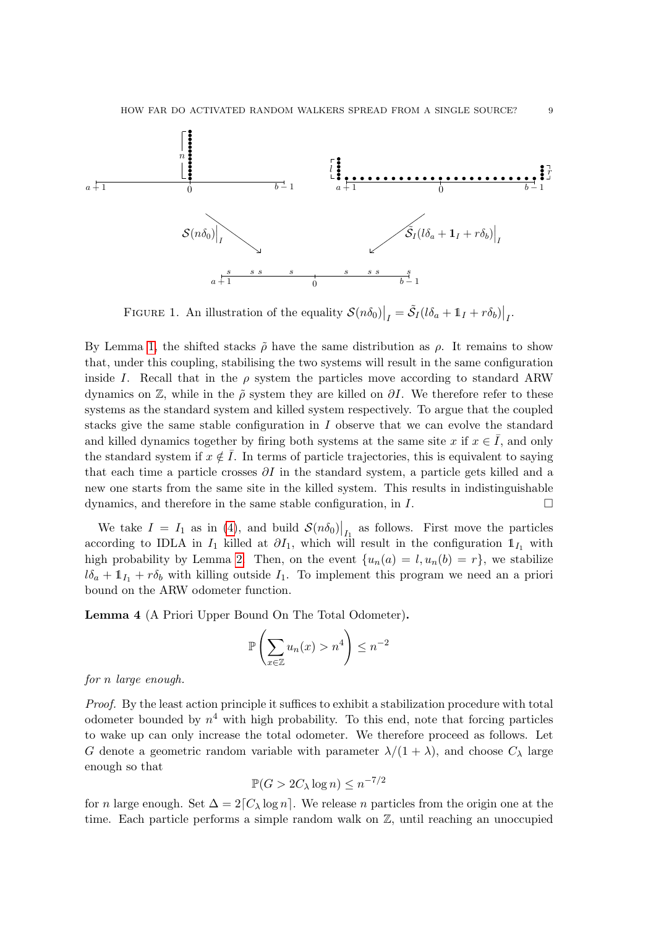

FIGURE 1. An illustration of the equality  $S(n\delta_0)|_I = \tilde{S}_I(l\delta_a + 1_I + r\delta_b)|_I$ .

By Lemma [1,](#page-5-0) the shifted stacks  $\tilde{\rho}$  have the same distribution as  $\rho$ . It remains to show that, under this coupling, stabilising the two systems will result in the same configuration inside I. Recall that in the  $\rho$  system the particles move according to standard ARW dynamics on  $\mathbb{Z}$ , while in the  $\tilde{\rho}$  system they are killed on  $\partial I$ . We therefore refer to these systems as the standard system and killed system respectively. To argue that the coupled stacks give the same stable configuration in  $I$  observe that we can evolve the standard and killed dynamics together by firing both systems at the same site x if  $x \in \overline{I}$ , and only the standard system if  $x \notin \overline{I}$ . In terms of particle trajectories, this is equivalent to saying that each time a particle crosses  $\partial I$  in the standard system, a particle gets killed and a new one starts from the same site in the killed system. This results in indistinguishable dynamics, and therefore in the same stable configuration, in  $I$ .

We take  $I = I_1$  as in [\(4\)](#page-7-1), and build  $\mathcal{S}(n\delta_0)|_{I_1}$  as follows. First move the particles according to IDLA in  $I_1$  killed at  $\partial I_1$ , which will result in the configuration  $\mathbb{1}_{I_1}$  with high probability by Lemma [2.](#page-7-2) Then, on the event  $\{u_n(a) = l, u_n(b) = r\}$ , we stabilize  $l\delta_a + \mathbb{1}_{I_1} + r\delta_b$  with killing outside  $I_1$ . To implement this program we need an a priori bound on the ARW odometer function.

<span id="page-8-0"></span>Lemma 4 (A Priori Upper Bound On The Total Odometer).

$$
\mathbb{P}\left(\sum_{x\in\mathbb{Z}}u_n(x)>n^4\right)\leq n^{-2}
$$

for n large enough.

Proof. By the least action principle it suffices to exhibit a stabilization procedure with total odometer bounded by  $n^4$  with high probability. To this end, note that forcing particles to wake up can only increase the total odometer. We therefore proceed as follows. Let G denote a geometric random variable with parameter  $\lambda/(1+\lambda)$ , and choose  $C_{\lambda}$  large enough so that

$$
\mathbb{P}(G > 2C_{\lambda} \log n) \le n^{-7/2}
$$

for n large enough. Set  $\Delta = 2[C_\lambda \log n]$ . We release n particles from the origin one at the time. Each particle performs a simple random walk on Z, until reaching an unoccupied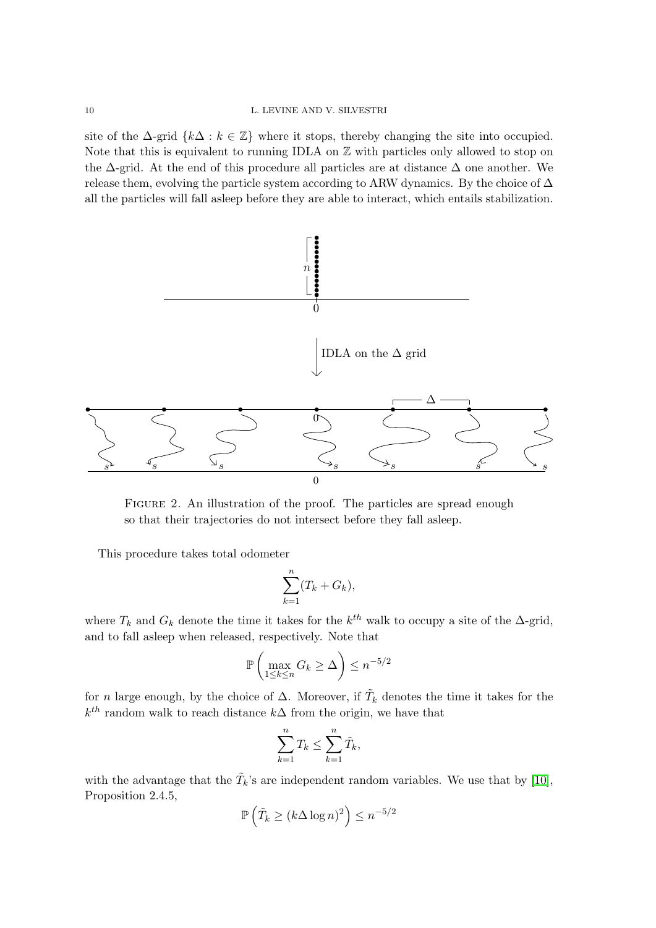site of the  $\Delta$ -grid  $\{k\Delta : k \in \mathbb{Z}\}\$  where it stops, thereby changing the site into occupied. Note that this is equivalent to running IDLA on  $\mathbb Z$  with particles only allowed to stop on the  $\Delta$ -grid. At the end of this procedure all particles are at distance  $\Delta$  one another. We release them, evolving the particle system according to ARW dynamics. By the choice of  $\Delta$ all the particles will fall asleep before they are able to interact, which entails stabilization.



FIGURE 2. An illustration of the proof. The particles are spread enough so that their trajectories do not intersect before they fall asleep.

This procedure takes total odometer

$$
\sum_{k=1}^{n} (T_k + G_k),
$$

where  $T_k$  and  $G_k$  denote the time it takes for the  $k^{th}$  walk to occupy a site of the  $\Delta$ -grid, and to fall asleep when released, respectively. Note that

$$
\mathbb{P}\left(\max_{1\leq k\leq n} G_k \geq \Delta\right) \leq n^{-5/2}
$$

for n large enough, by the choice of  $\Delta$ . Moreover, if  $\tilde{T}_k$  denotes the time it takes for the  $k^{th}$  random walk to reach distance  $k\Delta$  from the origin, we have that

$$
\sum_{k=1}^{n} T_k \le \sum_{k=1}^{n} \tilde{T}_k,
$$

with the advantage that the  $\tilde{T}_k$ 's are independent random variables. We use that by [\[10\]](#page-23-7), Proposition 2.4.5,

$$
\mathbb{P}\left(\tilde{T}_k \ge (k\Delta \log n)^2\right) \le n^{-5/2}
$$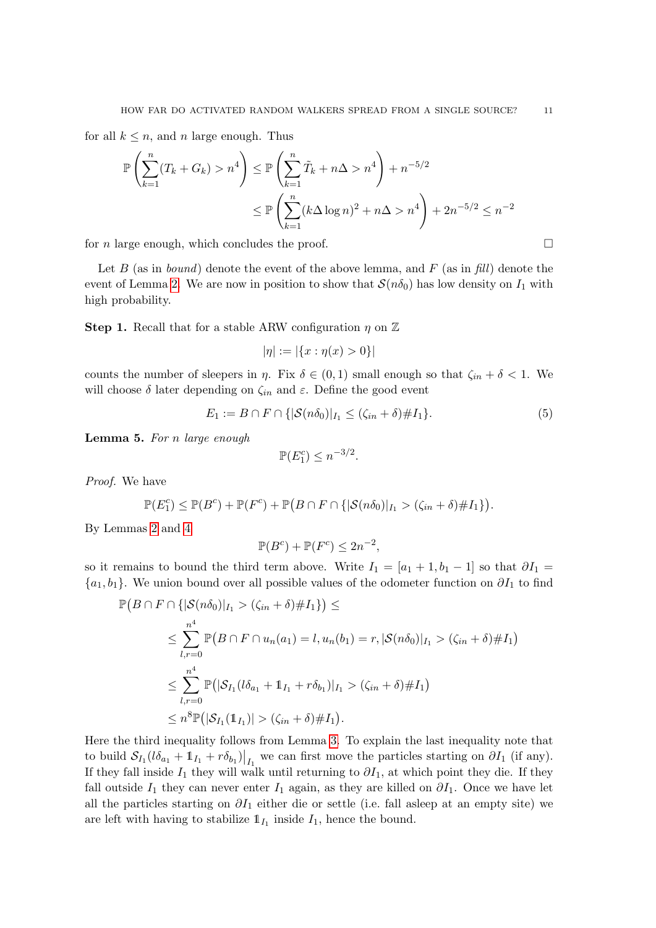for all  $k \leq n$ , and n large enough. Thus

$$
\mathbb{P}\left(\sum_{k=1}^{n} (T_k + G_k) > n^4\right) \le \mathbb{P}\left(\sum_{k=1}^{n} \tilde{T}_k + n\Delta > n^4\right) + n^{-5/2} \le \mathbb{P}\left(\sum_{k=1}^{n} (k\Delta \log n)^2 + n\Delta > n^4\right) + 2n^{-5/2} \le n^{-2}
$$

for *n* large enough, which concludes the proof.  $\square$ 

Let B (as in *bound*) denote the event of the above lemma, and F (as in fill) denote the event of Lemma [2.](#page-7-2) We are now in position to show that  $\mathcal{S}(n\delta_0)$  has low density on  $I_1$  with high probability.

**Step 1.** Recall that for a stable ARW configuration  $\eta$  on  $\mathbb{Z}$ 

$$
|\eta| := |\{x : \eta(x) > 0\}|
$$

counts the number of sleepers in  $\eta$ . Fix  $\delta \in (0,1)$  small enough so that  $\zeta_{in} + \delta < 1$ . We will choose  $\delta$  later depending on  $\zeta_{in}$  and  $\varepsilon$ . Define the good event

<span id="page-10-1"></span>
$$
E_1 := B \cap F \cap \{ |\mathcal{S}(n\delta_0)|_{I_1} \le (\zeta_{in} + \delta) \# I_1 \}. \tag{5}
$$

<span id="page-10-0"></span>Lemma 5. For n large enough

$$
\mathbb{P}(E_1^c) \le n^{-3/2}.
$$

Proof. We have

$$
\mathbb{P}(E_1^c) \leq \mathbb{P}(B^c) + \mathbb{P}(F^c) + \mathbb{P}(B \cap F \cap \{|\mathcal{S}(n\delta_0)|_{I_1} > (\zeta_{in} + \delta) \# I_1\}).
$$

By Lemmas [2](#page-7-2) and [4](#page-8-0)

$$
\mathbb{P}(B^c) + \mathbb{P}(F^c) \le 2n^{-2},
$$

so it remains to bound the third term above. Write  $I_1 = [a_1 + 1, b_1 - 1]$  so that  $\partial I_1 =$  ${a_1, b_1}$ . We union bound over all possible values of the odometer function on  $\partial I_1$  to find

$$
\mathbb{P}(B \cap F \cap \{|\mathcal{S}(n\delta_0)|_{I_1} > (\zeta_{in} + \delta) \# I_1\}) \le
$$
\n
$$
\le \sum_{l,r=0}^{n^4} \mathbb{P}(B \cap F \cap u_n(a_1) = l, u_n(b_1) = r, |\mathcal{S}(n\delta_0)|_{I_1} > (\zeta_{in} + \delta) \# I_1)
$$
\n
$$
\le \sum_{l,r=0}^{n^4} \mathbb{P}(|\mathcal{S}_{I_1}(l\delta_{a_1} + 1_{I_1} + r\delta_{b_1})|_{I_1} > (\zeta_{in} + \delta) \# I_1)
$$
\n
$$
\le n^8 \mathbb{P}(|\mathcal{S}_{I_1}(1_{I_1})| > (\zeta_{in} + \delta) \# I_1).
$$

Here the third inequality follows from Lemma [3.](#page-7-3) To explain the last inequality note that to build  $S_{I_1}(l\delta_{a_1} + \mathbb{1}_{I_1} + r\delta_{b_1})\big|_{I_1}$  we can first move the particles starting on  $\partial I_1$  (if any). If they fall inside  $I_1$  they will walk until returning to  $\partial I_1$ , at which point they die. If they fall outside  $I_1$  they can never enter  $I_1$  again, as they are killed on  $\partial I_1$ . Once we have let all the particles starting on  $\partial I_1$  either die or settle (i.e. fall asleep at an empty site) we are left with having to stabilize  $\mathbb{1}_{I_1}$  inside  $I_1$ , hence the bound.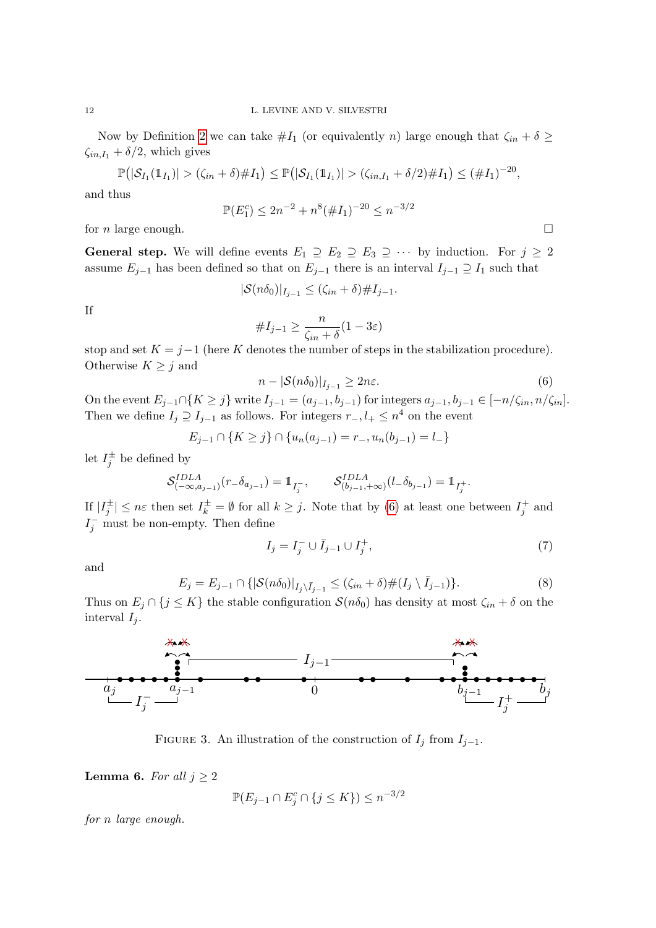12 L. LEVINE AND V. SILVESTRI

Now by Definition [2](#page-2-0) we can take  $#I_1$  (or equivalently n) large enough that  $\zeta_{in} + \delta \ge$  $\zeta_{in,I_1} + \delta/2$ , which gives

$$
\mathbb{P}(|S_{I_1}(1_{I_1})| > (\zeta_{in} + \delta) \# I_1) \leq \mathbb{P}(|S_{I_1}(1_{I_1})| > (\zeta_{in,I_1} + \delta/2) \# I_1) \leq (\#I_1)^{-20},
$$

and thus

$$
\mathbb{P}(E_1^c) \le 2n^{-2} + n^8 (\# I_1)^{-20} \le n^{-3/2}
$$

for *n* large enough.  $\square$ 

**General step.** We will define events  $E_1 \supseteq E_2 \supseteq E_3 \supseteq \cdots$  by induction. For  $j \geq 2$ assume  $E_{j-1}$  has been defined so that on  $E_{j-1}$  there is an interval  $I_{j-1} \supseteq I_1$  such that

$$
|\mathcal{S}(n\delta_0)|_{I_{j-1}} \leq (\zeta_{in} + \delta) \# I_{j-1}.
$$

If

$$
\#I_{j-1} \ge \frac{n}{\zeta_{in} + \delta} (1 - 3\varepsilon)
$$

stop and set  $K = j-1$  (here K denotes the number of steps in the stabilization procedure). Otherwise  $K \geq j$  and

<span id="page-11-0"></span>
$$
n - |\mathcal{S}(n\delta_0)|_{I_{j-1}} \ge 2n\varepsilon. \tag{6}
$$

On the event  $E_{j-1} \cap \{K \geq j\}$  write  $I_{j-1} = (a_{j-1}, b_{j-1})$  for integers  $a_{j-1}, b_{j-1} \in [-n/\zeta_{in}, n/\zeta_{in}].$ Then we define  $I_j \supseteq I_{j-1}$  as follows. For integers  $r_-, l_+ \leq n^4$  on the event

$$
E_{j-1} \cap \{K \ge j\} \cap \{u_n(a_{j-1}) = r_-, u_n(b_{j-1}) = l_-\}
$$

let  $I_j^{\pm}$  be defined by

$$
\mathcal{S}^{IDLA}_{(-\infty, a_{j-1})}(r_-\delta_{a_{j-1}})=1\!\!1_{I_j^-},\qquad \mathcal{S}^{IDLA}_{(b_{j-1}, +\infty)}(l_-\delta_{b_{j-1}})=1\!\!1_{I_j^+}.
$$

If  $|I_j^{\pm}| \leq n\varepsilon$  then set  $I_k^{\pm} = \emptyset$  for all  $k \geq j$ . Note that by [\(6\)](#page-11-0) at least one between  $I_j^+$  and  $I_j^-$  must be non-empty. Then define

<span id="page-11-1"></span>
$$
I_j = I_j^- \cup \bar{I}_{j-1} \cup I_j^+, \tag{7}
$$

and

<span id="page-11-2"></span>
$$
E_j = E_{j-1} \cap \{ |\mathcal{S}(n\delta_0)|_{I_j \setminus \bar{I}_{j-1}} \le (\zeta_{in} + \delta) \# (I_j \setminus \bar{I}_{j-1}) \}. \tag{8}
$$

Thus on  $E_j \cap \{j \leq K\}$  the stable configuration  $\mathcal{S}(n\delta_0)$  has density at most  $\zeta_{in} + \delta$  on the interval  $I_i$ .



FIGURE 3. An illustration of the construction of  $I_j$  from  $I_{j-1}$ .

<span id="page-11-3"></span>**Lemma 6.** For all  $j \geq 2$ 

$$
\mathbb{P}(E_{j-1}\cap E_j^c\cap\{j\leq K\})\leq n^{-3/2}
$$

for n large enough.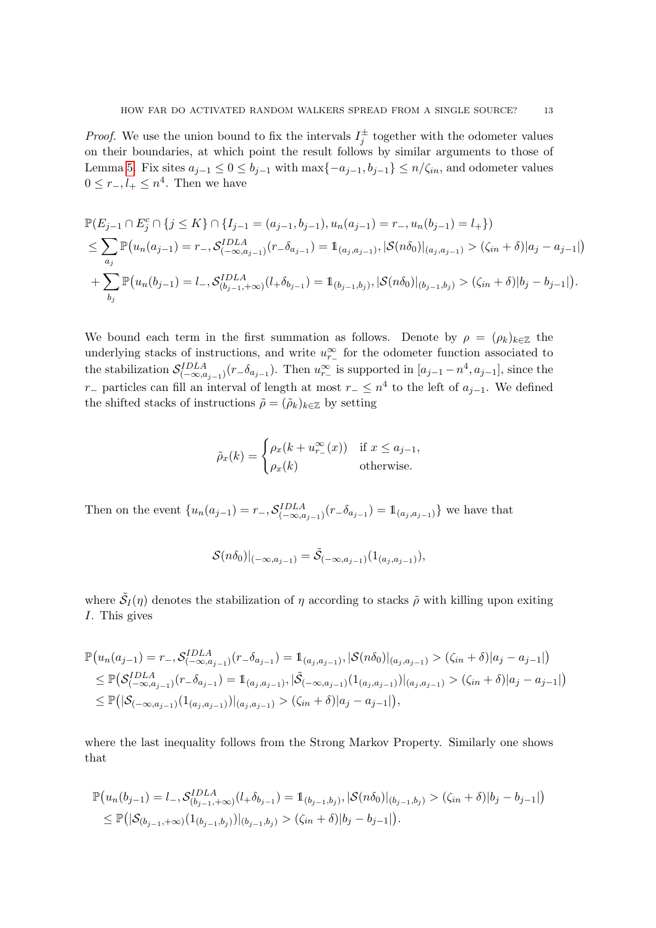*Proof.* We use the union bound to fix the intervals  $I_j^{\pm}$  together with the odometer values on their boundaries, at which point the result follows by similar arguments to those of Lemma [5.](#page-10-0) Fix sites  $a_{j-1} \leq 0 \leq b_{j-1}$  with  $\max\{-a_{j-1}, b_{j-1}\} \leq n/\zeta_{in}$ , and odometer values  $0 \leq r_-, l_+ \leq n^4$ . Then we have

$$
\mathbb{P}(E_{j-1} \cap E_j^c \cap \{j \le K\} \cap \{I_{j-1} = (a_{j-1}, b_{j-1}), u_n(a_{j-1}) = r_-, u_n(b_{j-1}) = l_+\})
$$
\n
$$
\le \sum_{a_j} \mathbb{P}(u_n(a_{j-1}) = r_-, \mathcal{S}_{(-\infty, a_{j-1})}^{IDLA}(r_-\delta_{a_{j-1}}) = 1_{(a_j, a_{j-1})}, |\mathcal{S}(n\delta_0)|_{(a_j, a_{j-1})} > (\zeta_{in} + \delta)|a_j - a_{j-1}|)
$$
\n
$$
+ \sum_{b_j} \mathbb{P}(u_n(b_{j-1}) = l_-, \mathcal{S}_{(b_{j-1}, +\infty)}^{IDLA}(l_+\delta_{b_{j-1}}) = 1_{(b_{j-1}, b_j)}, |\mathcal{S}(n\delta_0)|_{(b_{j-1}, b_j)} > (\zeta_{in} + \delta)|b_j - b_{j-1}|).
$$

We bound each term in the first summation as follows. Denote by  $\rho = (\rho_k)_{k \in \mathbb{Z}}$  the underlying stacks of instructions, and write  $u_{r-}^{\infty}$  for the odometer function associated to the stabilization  $S_{(-\infty,a_{j-1})}^{IDLA}(r_{-\delta_{a_{j-1}}})$ . Then  $u_{r-}^{\infty}$  is supported in  $[a_{j-1}-n^4,a_{j-1}]$ , since the r<sub>−</sub> particles can fill an interval of length at most  $r_-\leq n^4$  to the left of  $a_{j-1}$ . We defined the shifted stacks of instructions  $\tilde{\rho} = (\tilde{\rho}_k)_{k \in \mathbb{Z}}$  by setting

$$
\tilde{\rho}_x(k) = \begin{cases} \rho_x(k + u_{r_-}^{\infty}(x)) & \text{if } x \le a_{j-1}, \\ \rho_x(k) & \text{otherwise.} \end{cases}
$$

Then on the event  $\{u_n(a_{j-1}) = r_-, \mathcal{S}_{(-\infty, a_{j-1})}^{IDLA}(r_-\delta_{a_{j-1}}) = \mathbb{1}_{(a_j, a_{j-1})}\}$  we have that

$$
\mathcal{S}(n\delta_0)|_{(-\infty,a_{j-1})} = \tilde{\mathcal{S}}_{(-\infty,a_{j-1})}(1_{(a_j,a_{j-1})}),
$$

where  $\tilde{S}_I(\eta)$  denotes the stabilization of  $\eta$  according to stacks  $\tilde{\rho}$  with killing upon exiting I. This gives

$$
\mathbb{P}(u_n(a_{j-1}) = r_-, \mathcal{S}_{(-\infty, a_{j-1})}^{IDLA}(r_-\delta_{a_{j-1}}) = 1_{(a_j, a_{j-1})}, |\mathcal{S}(n\delta_0)|_{(a_j, a_{j-1})} > (\zeta_{in} + \delta)|a_j - a_{j-1}|)
$$
  
\n
$$
\leq \mathbb{P}(\mathcal{S}_{(-\infty, a_{j-1})}^{IDLA}(r_-\delta_{a_{j-1}}) = 1_{(a_j, a_{j-1})}, |\tilde{\mathcal{S}}_{(-\infty, a_{j-1})}(1_{(a_j, a_{j-1})})|_{(a_j, a_{j-1})} > (\zeta_{in} + \delta)|a_j - a_{j-1}|)
$$
  
\n
$$
\leq \mathbb{P}(|\mathcal{S}_{(-\infty, a_{j-1})}(1_{(a_j, a_{j-1})})|_{(a_j, a_{j-1})} > (\zeta_{in} + \delta)|a_j - a_{j-1}|),
$$

where the last inequality follows from the Strong Markov Property. Similarly one shows that

$$
\mathbb{P}(u_n(b_{j-1}) = l_-, \mathcal{S}_{(b_{j-1},+\infty)}^{IDLA}(l_+ \delta_{b_{j-1}}) = \mathbb{1}_{(b_{j-1},b_j)}, |\mathcal{S}(n\delta_0)|_{(b_{j-1},b_j)} > (\zeta_{in} + \delta)|b_j - b_{j-1}|)
$$
  
\n
$$
\leq \mathbb{P}(|\mathcal{S}_{(b_{j-1},+\infty)}(1_{(b_{j-1},b_j)})|_{(b_{j-1},b_j)} > (\zeta_{in} + \delta)|b_j - b_{j-1}|).
$$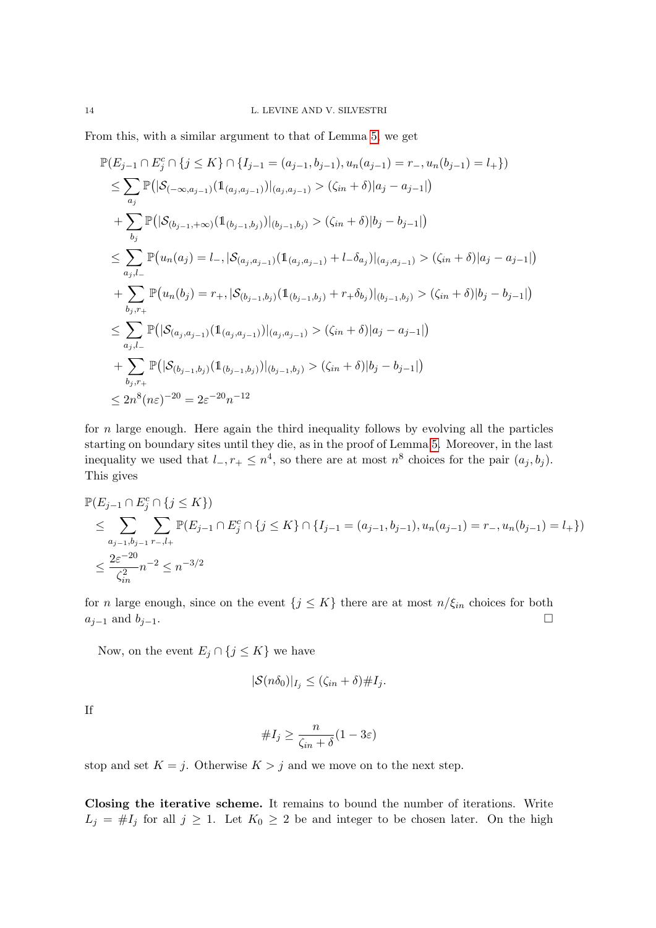From this, with a similar argument to that of Lemma [5,](#page-10-0) we get

$$
\mathbb{P}(E_{j-1} \cap E_{j}^{c} \cap \{j \leq K\} \cap \{I_{j-1} = (a_{j-1}, b_{j-1}), u_{n}(a_{j-1}) = r_{-}, u_{n}(b_{j-1}) = l_{+}\})
$$
\n
$$
\leq \sum_{a_{j}} \mathbb{P}(|\mathcal{S}_{(-\infty, a_{j-1})}(1_{(a_{j}, a_{j-1})})|_{(a_{j}, a_{j-1})} > (\zeta_{in} + \delta)|a_{j} - a_{j-1}|)
$$
\n
$$
+ \sum_{b_{j}} \mathbb{P}(|\mathcal{S}_{(b_{j-1}, +\infty)}(1_{(b_{j-1}, b_{j})})|_{(b_{j-1}, b_{j})} > (\zeta_{in} + \delta)|b_{j} - b_{j-1}|)
$$
\n
$$
\leq \sum_{a_{j}, l_{-}} \mathbb{P}(u_{n}(a_{j}) = l_{-}, |\mathcal{S}_{(a_{j}, a_{j-1})}(1_{(a_{j}, a_{j-1})} + l_{-} \delta_{a_{j}})|_{(a_{j}, a_{j-1})} > (\zeta_{in} + \delta)|a_{j} - a_{j-1}|)
$$
\n
$$
+ \sum_{b_{j}, r_{+}} \mathbb{P}(u_{n}(b_{j}) = r_{+}, |\mathcal{S}_{(b_{j-1}, b_{j})}(1_{(b_{j-1}, b_{j})} + r_{+} \delta_{b_{j}})|_{(b_{j-1}, b_{j})} > (\zeta_{in} + \delta)|b_{j} - b_{j-1}|)
$$
\n
$$
\leq \sum_{a_{j}, l_{-}} \mathbb{P}(|\mathcal{S}_{(a_{j}, a_{j-1})}(1_{(a_{j}, a_{j-1})})|_{(a_{j}, a_{j-1})} > (\zeta_{in} + \delta)|a_{j} - a_{j-1}|)
$$
\n
$$
+ \sum_{b_{j}, r_{+}} \mathbb{P}(|\mathcal{S}_{(b_{j-1}, b_{j})}(1_{(b_{j-1}, b_{j})})|_{(b_{j-1}, b_{j})} > (\zeta_{in} + \delta)|b_{j} - b_{j-1}|)
$$
\n
$$
\leq 2n^{8}(n\varepsilon)^{-20} = 2\varepsilon^{-2
$$

for  $n$  large enough. Here again the third inequality follows by evolving all the particles starting on boundary sites until they die, as in the proof of Lemma [5.](#page-10-0) Moreover, in the last inequality we used that  $l_-, r_+ \leq n^4$ , so there are at most  $n^8$  choices for the pair  $(a_j, b_j)$ . This gives

$$
\mathbb{P}(E_{j-1} \cap E_j^c \cap \{j \le K\})
$$
\n
$$
\le \sum_{a_{j-1}, b_{j-1}} \sum_{r=J+1} \mathbb{P}(E_{j-1} \cap E_j^c \cap \{j \le K\} \cap \{I_{j-1} = (a_{j-1}, b_{j-1}), u_n(a_{j-1}) = r_-, u_n(b_{j-1}) = l_+\})
$$
\n
$$
\le \frac{2\varepsilon^{-20}}{\zeta_{in}^2} n^{-2} \le n^{-3/2}
$$

for n large enough, since on the event  $\{j \leq K\}$  there are at most  $n/\xi_{in}$  choices for both  $a_{j-1}$  and  $b_{j-1}$ .

Now, on the event  $E_j \cap \{j \leq K\}$  we have

$$
|\mathcal{S}(n\delta_0)|_{I_j} \leq (\zeta_{in} + \delta) \# I_j.
$$

If

#I<sup>j</sup> ≥ n ζin + δ (1 − 3ε)

stop and set  $K = j$ . Otherwise  $K > j$  and we move on to the next step.

Closing the iterative scheme. It remains to bound the number of iterations. Write  $L_j = #I_j$  for all  $j \geq 1$ . Let  $K_0 \geq 2$  be and integer to be chosen later. On the high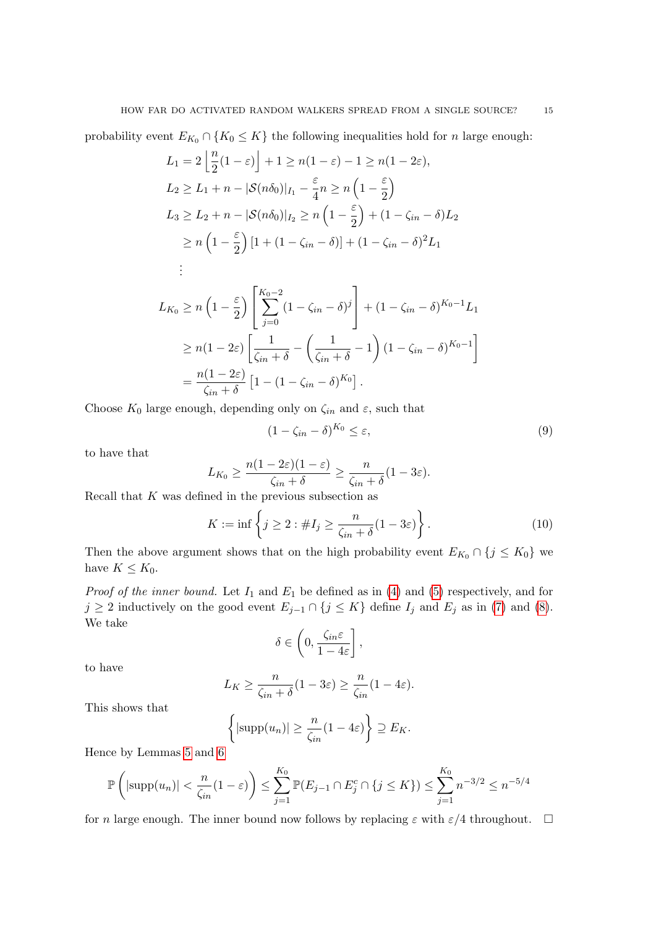probability event  $E_{K_0} \cap \{K_0 \leq K\}$  the following inequalities hold for *n* large enough:

$$
L_1 = 2\left\lfloor \frac{n}{2}(1-\varepsilon)\right\rfloor + 1 \ge n(1-\varepsilon) - 1 \ge n(1-2\varepsilon),
$$
  
\n
$$
L_2 \ge L_1 + n - |\mathcal{S}(n\delta_0)|_{I_1} - \frac{\varepsilon}{4}n \ge n\left(1 - \frac{\varepsilon}{2}\right)
$$
  
\n
$$
L_3 \ge L_2 + n - |\mathcal{S}(n\delta_0)|_{I_2} \ge n\left(1 - \frac{\varepsilon}{2}\right) + (1 - \zeta_{in} - \delta)L_2
$$
  
\n
$$
\ge n\left(1 - \frac{\varepsilon}{2}\right)\left[1 + (1 - \zeta_{in} - \delta)\right] + (1 - \zeta_{in} - \delta)^2 L_1
$$
  
\n:  
\n:  
\n
$$
L_{K_0} \ge n\left(1 - \frac{\varepsilon}{2}\right)\left[\sum_{j=0}^{K_0-2} (1 - \zeta_{in} - \delta)^j\right] + (1 - \zeta_{in} - \delta)^{K_0-1} L_1
$$
  
\n
$$
\ge n(1 - 2\varepsilon)\left[\frac{1}{\zeta_{in} + \delta} - \left(\frac{1}{\zeta_{in} + \delta} - 1\right)(1 - \zeta_{in} - \delta)^{K_0-1}\right]
$$
  
\n
$$
= \frac{n(1 - 2\varepsilon)}{1 - (1 - \zeta_{in} - \delta)^{K_0}}.
$$

Choose  $K_0$  large enough, depending only on  $\zeta_{in}$  and  $\varepsilon$ , such that

$$
(1 - \zeta_{in} - \delta)^{K_0} \le \varepsilon,\tag{9}
$$

to have that

$$
L_{K_0} \ge \frac{n(1-2\varepsilon)(1-\varepsilon)}{\zeta_{in} + \delta} \ge \frac{n}{\zeta_{in} + \delta}(1-3\varepsilon).
$$

Recall that  $K$  was defined in the previous subsection as

 $\zeta_{in}+\delta$ 

$$
K := \inf \left\{ j \ge 2 : \#I_j \ge \frac{n}{\zeta_{in} + \delta} (1 - 3\varepsilon) \right\}.
$$
 (10)

Then the above argument shows that on the high probability event  $E_{K_0} \cap \{j \leq K_0\}$  we have  $K \leq K_0$ .

*Proof of the inner bound.* Let  $I_1$  and  $E_1$  be defined as in [\(4\)](#page-7-1) and [\(5\)](#page-10-1) respectively, and for j ≥ 2 inductively on the good event  $E_{j-1} \cap \{j \leq K\}$  define  $I_j$  and  $E_j$  as in [\(7\)](#page-11-1) and [\(8\)](#page-11-2). We take

$$
\delta \in \left(0, \frac{\zeta_{in} \varepsilon}{1 - 4\varepsilon}\right],
$$

to have

$$
L_K \ge \frac{n}{\zeta_{in} + \delta} (1 - 3\varepsilon) \ge \frac{n}{\zeta_{in}} (1 - 4\varepsilon).
$$

This shows that

$$
\left\{ |\text{supp}(u_n)| \ge \frac{n}{\zeta_{in}} (1 - 4\varepsilon) \right\} \supseteq E_K.
$$

Hence by Lemmas [5](#page-10-0) and [6](#page-11-3)

$$
\mathbb{P}\left(\left|\text{supp}(u_n)\right| < \frac{n}{\zeta_{in}}(1-\varepsilon)\right) \le \sum_{j=1}^{K_0} \mathbb{P}(E_{j-1} \cap E_j^c \cap \{j \le K\}) \le \sum_{j=1}^{K_0} n^{-3/2} \le n^{-5/4}
$$

for n large enough. The inner bound now follows by replacing  $\varepsilon$  with  $\varepsilon/4$  throughout.  $\square$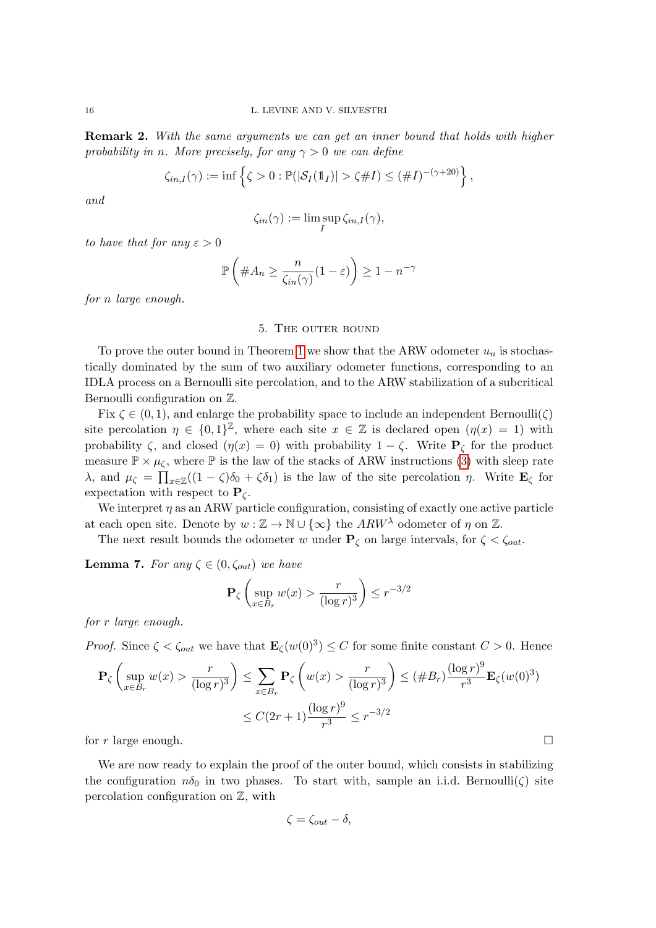<span id="page-15-0"></span>Remark 2. With the same arguments we can get an inner bound that holds with higher probability in n. More precisely, for any  $\gamma > 0$  we can define

$$
\zeta_{in,I}(\gamma) := \inf \left\{ \zeta > 0 : \mathbb{P}(|\mathcal{S}_I(\mathbb{1}_I)| > \zeta \# I) \leq (\#I)^{-(\gamma+20)} \right\},\,
$$

and

$$
\zeta_{in}(\gamma) := \limsup_{I} \zeta_{in,I}(\gamma),
$$

to have that for any  $\varepsilon > 0$ 

$$
\mathbb{P}\left(\#A_n \ge \frac{n}{\zeta_{in}(\gamma)}(1-\varepsilon)\right) \ge 1 - n^{-\gamma}
$$

<span id="page-15-1"></span>for n large enough.

# 5. The outer bound

To prove the outer bound in Theorem [1](#page-2-1) we show that the ARW odometer  $u_n$  is stochastically dominated by the sum of two auxiliary odometer functions, corresponding to an IDLA process on a Bernoulli site percolation, and to the ARW stabilization of a subcritical Bernoulli configuration on Z.

Fix  $\zeta \in (0,1)$ , and enlarge the probability space to include an independent Bernoulli $(\zeta)$ site percolation  $\eta \in \{0,1\}^{\mathbb{Z}}$ , where each site  $x \in \mathbb{Z}$  is declared open  $(\eta(x) = 1)$  with probability  $\zeta$ , and closed  $(\eta(x) = 0)$  with probability  $1 - \zeta$ . Write  $P_{\zeta}$  for the product measure  $\mathbb{P} \times \mu_{\zeta}$ , where  $\mathbb{P}$  is the law of the stacks of ARW instructions [\(3\)](#page-4-0) with sleep rate λ, and  $\mu_{\zeta} = \prod_{x \in \mathbb{Z}}((1 - \zeta)\delta_0 + \zeta\delta_1)$  is the law of the site percolation η. Write  $\mathbf{E}_{\zeta}$  for expectation with respect to  $P_{\zeta}$ .

We interpret  $\eta$  as an ARW particle configuration, consisting of exactly one active particle at each open site. Denote by  $w : \mathbb{Z} \to \mathbb{N} \cup \{\infty\}$  the  $ARW^{\lambda}$  odometer of  $\eta$  on  $\mathbb{Z}$ .

The next result bounds the odometer w under  $P_{\zeta}$  on large intervals, for  $\zeta < \zeta_{out}$ .

<span id="page-15-2"></span>**Lemma 7.** For any  $\zeta \in (0, \zeta_{out})$  we have

$$
\mathbf{P}_{\zeta} \left( \sup_{x \in B_r} w(x) > \frac{r}{(\log r)^3} \right) \le r^{-3/2}
$$

for r large enough.

*Proof.* Since  $\zeta < \zeta_{out}$  we have that  $\mathbf{E}_{\zeta}(w(0)^3) \leq C$  for some finite constant  $C > 0$ . Hence

$$
\mathbf{P}_{\zeta} \left( \sup_{x \in B_r} w(x) > \frac{r}{(\log r)^3} \right) \le \sum_{x \in B_r} \mathbf{P}_{\zeta} \left( w(x) > \frac{r}{(\log r)^3} \right) \le (\# B_r) \frac{(\log r)^9}{r^3} \mathbf{E}_{\zeta}(w(0)^3)
$$
  

$$
\le C(2r+1) \frac{(\log r)^9}{r^3} \le r^{-3/2}
$$

for r large enough.  $\square$ 

We are now ready to explain the proof of the outer bound, which consists in stabilizing the configuration  $n\delta_0$  in two phases. To start with, sample an i.i.d. Bernoulli $(\zeta)$  site percolation configuration on Z, with

$$
\zeta = \zeta_{out} - \delta,
$$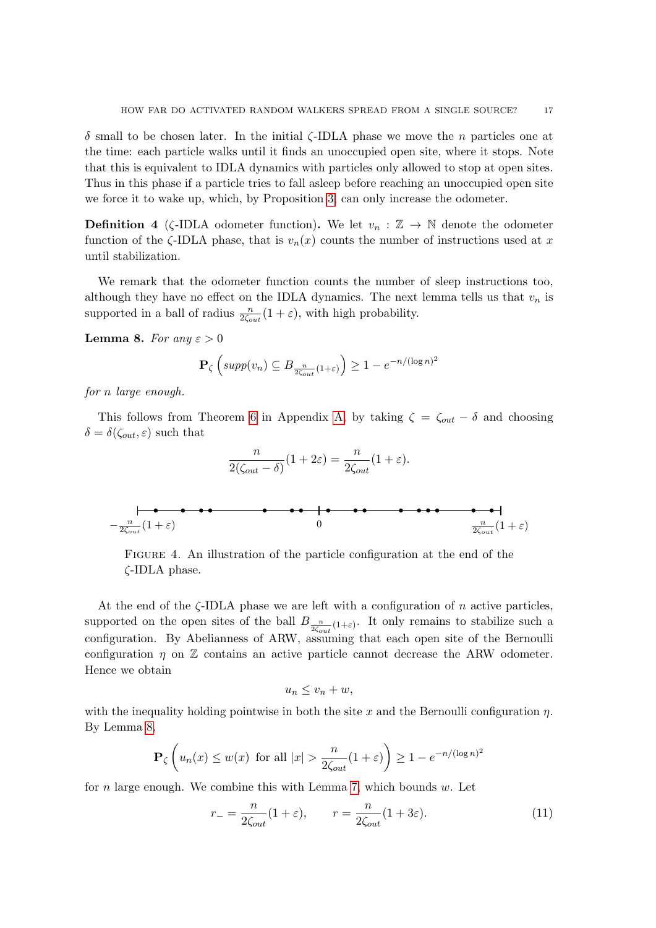$\delta$  small to be chosen later. In the initial  $\zeta$ -IDLA phase we move the n particles one at the time: each particle walks until it finds an unoccupied open site, where it stops. Note that this is equivalent to IDLA dynamics with particles only allowed to stop at open sites. Thus in this phase if a particle tries to fall asleep before reaching an unoccupied open site we force it to wake up, which, by Proposition [3,](#page-4-1) can only increase the odometer.

**Definition 4** ( $\zeta$ -IDLA odometer function). We let  $v_n : \mathbb{Z} \to \mathbb{N}$  denote the odometer function of the  $\zeta$ -IDLA phase, that is  $v_n(x)$  counts the number of instructions used at x until stabilization.

We remark that the odometer function counts the number of sleep instructions too, although they have no effect on the IDLA dynamics. The next lemma tells us that  $v_n$  is supported in a ball of radius  $\frac{n}{2\zeta_{out}}(1+\varepsilon)$ , with high probability.

<span id="page-16-0"></span>**Lemma 8.** For any  $\varepsilon > 0$ 

$$
\mathbf{P}_{\zeta} \left( \operatorname{supp}(v_n) \subseteq B_{\frac{n}{2\zeta_{out}}(1+\varepsilon)} \right) \ge 1 - e^{-n/(\log n)^2}
$$

for n large enough.

This follows from Theorem [6](#page-20-0) in Appendix [A,](#page-18-1) by taking  $\zeta = \zeta_{out} - \delta$  and choosing  $\delta = \delta(\zeta_{out}, \varepsilon)$  such that

$$
\frac{n}{2(\zeta_{out} - \delta)}(1 + 2\varepsilon) = \frac{n}{2\zeta_{out}}(1 + \varepsilon).
$$
\n
$$
-\frac{n}{2\zeta_{out}}(1 + \varepsilon)
$$
\n
$$
0
$$
\n
$$
\frac{n}{2\zeta_{out}}(1 + \varepsilon)
$$

Figure 4. An illustration of the particle configuration at the end of the ζ-IDLA phase.

At the end of the  $\zeta$ -IDLA phase we are left with a configuration of n active particles, supported on the open sites of the ball  $B_{\frac{n}{2\zeta_{out}}(1+\varepsilon)}$ . It only remains to stabilize such a configuration. By Abelianness of ARW, assuming that each open site of the Bernoulli configuration  $\eta$  on  $\mathbb Z$  contains an active particle cannot decrease the ARW odometer. Hence we obtain

$$
u_n \le v_n + w,
$$

with the inequality holding pointwise in both the site x and the Bernoulli configuration  $\eta$ . By Lemma [8,](#page-16-0)

$$
\mathbf{P}_{\zeta} \left( u_n(x) \le w(x) \text{ for all } |x| > \frac{n}{2\zeta_{out}} (1+\varepsilon) \right) \ge 1 - e^{-n/(\log n)^2}
$$

for n large enough. We combine this with Lemma [7,](#page-15-2) which bounds  $w$ . Let

<span id="page-16-1"></span>
$$
r_{-} = \frac{n}{2\zeta_{out}}(1+\varepsilon), \qquad r = \frac{n}{2\zeta_{out}}(1+3\varepsilon). \tag{11}
$$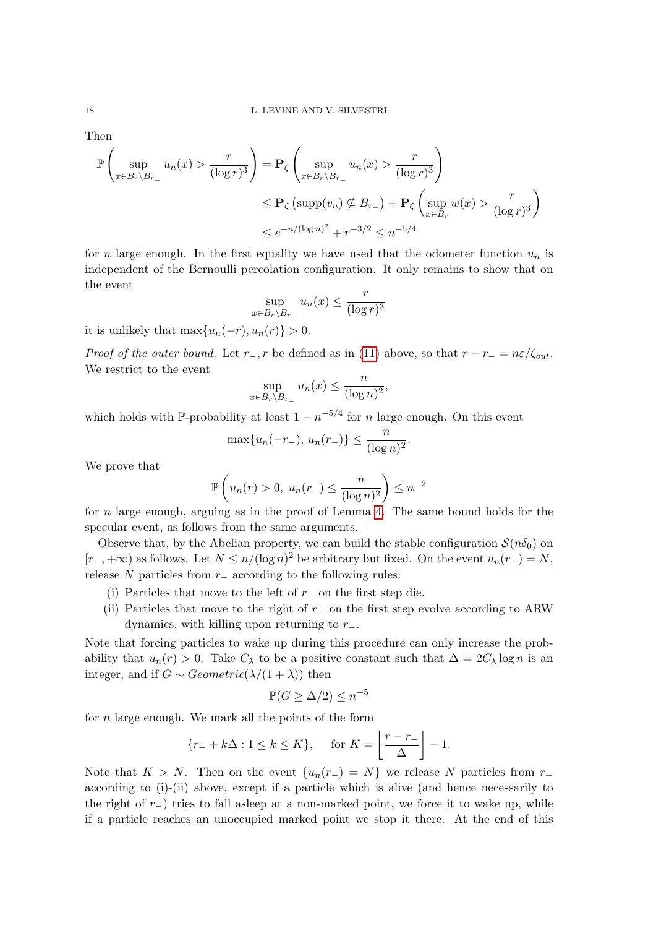Then

$$
\mathbb{P}\left(\sup_{x\in B_r\setminus B_{r_-}} u_n(x) > \frac{r}{(\log r)^3}\right) = \mathbf{P}_{\zeta}\left(\sup_{x\in B_r\setminus B_{r_-}} u_n(x) > \frac{r}{(\log r)^3}\right)
$$
  

$$
\leq \mathbf{P}_{\zeta}\left(\sup_{n\geq 0} (v_n) \nsubseteq B_{r_-}\right) + \mathbf{P}_{\zeta}\left(\sup_{x\in B_r} w(x) > \frac{r}{(\log r)^3}\right)
$$
  

$$
\leq e^{-n/(\log n)^2} + r^{-3/2} \leq n^{-5/4}
$$

for n large enough. In the first equality we have used that the odometer function  $u_n$  is independent of the Bernoulli percolation configuration. It only remains to show that on the event

$$
\sup_{x \in B_r \setminus B_{r_-}} u_n(x) \le \frac{r}{(\log r)^3}
$$

it is unlikely that  $\max\{u_n(-r), u_n(r)\} > 0$ .

Proof of the outer bound. Let  $r_-, r$  be defined as in [\(11\)](#page-16-1) above, so that  $r - r_- = n \varepsilon / \zeta_{out}$ . We restrict to the event

$$
\sup_{x \in B_r \backslash B_{r_-}} u_n(x) \le \frac{n}{(\log n)^2},
$$

which holds with P-probability at least  $1 - n^{-5/4}$  for n large enough. On this event

$$
\max\{u_n(-r_-), u_n(r_-)\} \le \frac{n}{(\log n)^2}.
$$

We prove that

$$
\mathbb{P}\left(u_n(r) > 0, u_n(r_-) \le \frac{n}{(\log n)^2}\right) \le n^{-2}
$$

for n large enough, arguing as in the proof of Lemma [4.](#page-8-0) The same bound holds for the specular event, as follows from the same arguments.

Observe that, by the Abelian property, we can build the stable configuration  $\mathcal{S}(n\delta_0)$  on  $[r_-, +\infty)$  as follows. Let  $N \leq n/(\log n)^2$  be arbitrary but fixed. On the event  $u_n(r_+) = N$ , release N particles from  $r_-\$ according to the following rules:

- (i) Particles that move to the left of  $r_$  on the first step die.
- (ii) Particles that move to the right of  $r_$ − on the first step evolve according to ARW dynamics, with killing upon returning to  $r_-\$ .

Note that forcing particles to wake up during this procedure can only increase the probability that  $u_n(r) > 0$ . Take  $C_\lambda$  to be a positive constant such that  $\Delta = 2C_\lambda \log n$  is an integer, and if  $G \sim Geometric(\lambda/(1+\lambda))$  then

$$
\mathbb{P}(G \ge \Delta/2) \le n^{-5}
$$

for  $n$  large enough. We mark all the points of the form

$$
\{r_- + k\Delta : 1 \le k \le K\}, \quad \text{for } K = \left\lfloor \frac{r - r_-}{\Delta} \right\rfloor - 1.
$$

Note that  $K > N$ . Then on the event  $\{u_n(r_-\} = N\}$  we release N particles from r− according to (i)-(ii) above, except if a particle which is alive (and hence necessarily to the right of  $r_$ ) tries to fall asleep at a non-marked point, we force it to wake up, while if a particle reaches an unoccupied marked point we stop it there. At the end of this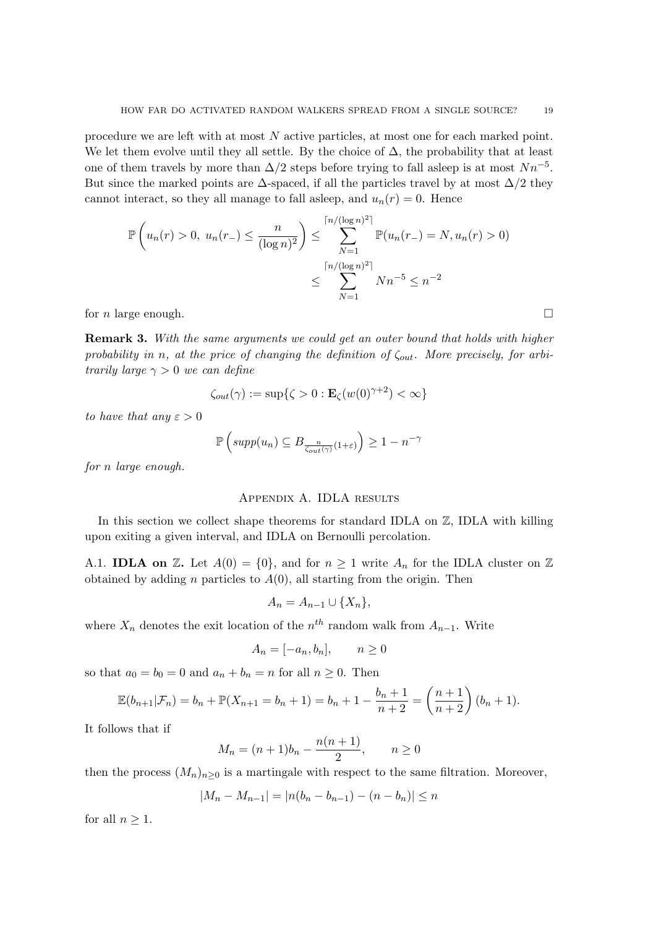procedure we are left with at most N active particles, at most one for each marked point. We let them evolve until they all settle. By the choice of  $\Delta$ , the probability that at least one of them travels by more than  $\Delta/2$  steps before trying to fall asleep is at most  $Nn^{-5}$ . But since the marked points are  $\Delta$ -spaced, if all the particles travel by at most  $\Delta/2$  they cannot interact, so they all manage to fall asleep, and  $u_n(r) = 0$ . Hence

$$
\mathbb{P}\left(u_n(r) > 0, u_n(r_-) \leq \frac{n}{(\log n)^2}\right) \leq \sum_{N=1}^{\lceil n/(\log n)^2 \rceil} \mathbb{P}(u_n(r_-) = N, u_n(r) > 0)
$$
  

$$
\leq \sum_{N=1}^{\lceil n/(\log n)^2 \rceil} Nn^{-5} \leq n^{-2}
$$

for *n* large enough.

<span id="page-18-0"></span>Remark 3. With the same arguments we could get an outer bound that holds with higher probability in n, at the price of changing the definition of  $\zeta_{out}$ . More precisely, for arbitrarily large  $\gamma > 0$  we can define

$$
\zeta_{out}(\gamma) := \sup\{\zeta > 0 : \mathbf{E}_{\zeta}(w(0)^{\gamma+2}) < \infty\}
$$

to have that any  $\varepsilon > 0$ 

$$
\mathbb{P}\left(\operatorname{supp}(u_n) \subseteq B_{\frac{n}{\zeta_{\operatorname{out}}(\gamma)}(1+\varepsilon)}\right) \ge 1 - n^{-\gamma}
$$

<span id="page-18-1"></span>for n large enough.

### Appendix A. IDLA results

In this section we collect shape theorems for standard IDLA on  $\mathbb{Z}$ , IDLA with killing upon exiting a given interval, and IDLA on Bernoulli percolation.

A.1. **IDLA on** Z. Let  $A(0) = \{0\}$ , and for  $n \geq 1$  write  $A_n$  for the IDLA cluster on Z obtained by adding n particles to  $A(0)$ , all starting from the origin. Then

$$
A_n = A_{n-1} \cup \{X_n\},\
$$

where  $X_n$  denotes the exit location of the  $n^{th}$  random walk from  $A_{n-1}$ . Write

$$
A_n = [-a_n, b_n], \qquad n \ge 0
$$

so that  $a_0 = b_0 = 0$  and  $a_n + b_n = n$  for all  $n \geq 0$ . Then

$$
\mathbb{E}(b_{n+1}|\mathcal{F}_n) = b_n + \mathbb{P}(X_{n+1} = b_n + 1) = b_n + 1 - \frac{b_n + 1}{n+2} = \left(\frac{n+1}{n+2}\right)(b_n + 1).
$$

It follows that if

$$
M_n = (n+1)b_n - \frac{n(n+1)}{2}, \qquad n \ge 0
$$

then the process  $(M_n)_{n\geq 0}$  is a martingale with respect to the same filtration. Moreover,

$$
|M_n - M_{n-1}| = |n(b_n - b_{n-1}) - (n - b_n)| \le n
$$

for all  $n \geq 1$ .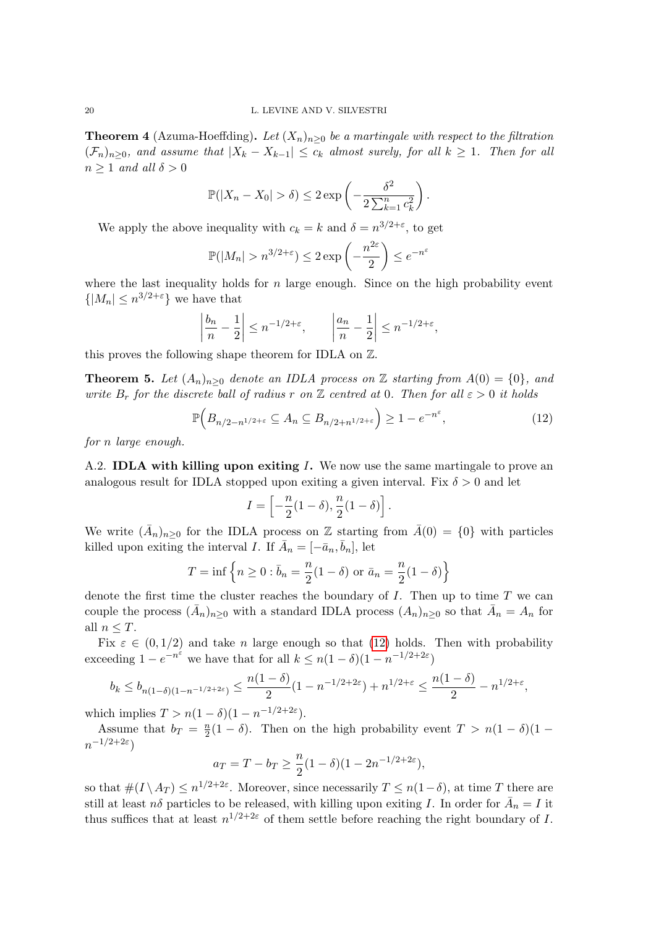**Theorem 4** (Azuma-Hoeffding). Let  $(X_n)_{n\geq 0}$  be a martingale with respect to the filtration  $(\mathcal{F}_n)_{n>0}$ , and assume that  $|X_k - X_{k-1}| \leq c_k$  almost surely, for all  $k \geq 1$ . Then for all  $n \geq 1$  and all  $\delta > 0$ 

$$
\mathbb{P}(|X_n - X_0| > \delta) \le 2 \exp\left(-\frac{\delta^2}{2\sum_{k=1}^n c_k^2}\right).
$$

We apply the above inequality with  $c_k = k$  and  $\delta = n^{3/2 + \varepsilon}$ , to get

$$
\mathbb{P}(|M_n| > n^{3/2+\varepsilon}) \le 2 \exp\left(-\frac{n^{2\varepsilon}}{2}\right) \le e^{-n^{\varepsilon}}
$$

where the last inequality holds for  $n$  large enough. Since on the high probability event  $\{|M_n| \leq n^{3/2+\epsilon}\}\$  we have that

$$
\left|\frac{b_n}{n} - \frac{1}{2}\right| \le n^{-1/2 + \varepsilon}, \qquad \left|\frac{a_n}{n} - \frac{1}{2}\right| \le n^{-1/2 + \varepsilon},
$$

this proves the following shape theorem for IDLA on Z.

**Theorem 5.** Let  $(A_n)_{n\geq 0}$  denote an IDLA process on Z starting from  $A(0) = \{0\}$ , and write  $B_r$  for the discrete ball of radius r on Z centred at 0. Then for all  $\varepsilon > 0$  it holds

<span id="page-19-0"></span>
$$
\mathbb{P}\Big(B_{n/2-n^{1/2+\varepsilon}} \subseteq A_n \subseteq B_{n/2+n^{1/2+\varepsilon}}\Big) \ge 1 - e^{-n^{\varepsilon}},\tag{12}
$$

for n large enough.

A.2. **IDLA with killing upon exiting I.** We now use the same martingale to prove an analogous result for IDLA stopped upon exiting a given interval. Fix  $\delta > 0$  and let

$$
I = \left[ -\frac{n}{2}(1-\delta), \frac{n}{2}(1-\delta) \right].
$$

We write  $(\bar{A}_n)_{n\geq 0}$  for the IDLA process on Z starting from  $\bar{A}(0) = \{0\}$  with particles killed upon exiting the interval I. If  $\bar{A}_n = [-\bar{a}_n, \bar{b}_n]$ , let

$$
T = \inf \left\{ n \ge 0 : \bar{b}_n = \frac{n}{2}(1 - \delta) \text{ or } \bar{a}_n = \frac{n}{2}(1 - \delta) \right\}
$$

denote the first time the cluster reaches the boundary of  $I$ . Then up to time  $T$  we can couple the process  $(\bar{A}_n)_{n\geq 0}$  with a standard IDLA process  $(A_n)_{n\geq 0}$  so that  $\bar{A}_n = A_n$  for all  $n \leq T$ .

Fix  $\varepsilon \in (0, 1/2)$  and take *n* large enough so that [\(12\)](#page-19-0) holds. Then with probability exceeding  $1 - e^{-n^{\varepsilon}}$  we have that for all  $k \leq n(1 - \delta)(1 - n^{-1/2 + 2\varepsilon})$ 

$$
b_k\leq b_{n(1-\delta)(1-n^{-1/2+2\varepsilon})}\leq \frac{n(1-\delta)}{2}(1-n^{-1/2+2\varepsilon})+n^{1/2+\varepsilon}\leq \frac{n(1-\delta)}{2}-n^{1/2+\varepsilon},
$$

which implies  $T > n(1 - \delta)(1 - n^{-1/2 + 2\varepsilon}).$ 

Assume that  $b_T = \frac{n}{2}$  $\frac{n}{2}(1-\delta)$ . Then on the high probability event  $T > n(1-\delta)(1-\delta)$  $n^{-1/2+2\varepsilon})$ 

$$
a_T = T - b_T \ge \frac{n}{2}(1 - \delta)(1 - 2n^{-1/2 + 2\varepsilon}),
$$

so that  $\#(I \setminus A_T) \le n^{1/2+2\varepsilon}$ . Moreover, since necessarily  $T \le n(1-\delta)$ , at time T there are still at least  $n\delta$  particles to be released, with killing upon exiting I. In order for  $\bar{A}_n = I$  it thus suffices that at least  $n^{1/2+2\varepsilon}$  of them settle before reaching the right boundary of I.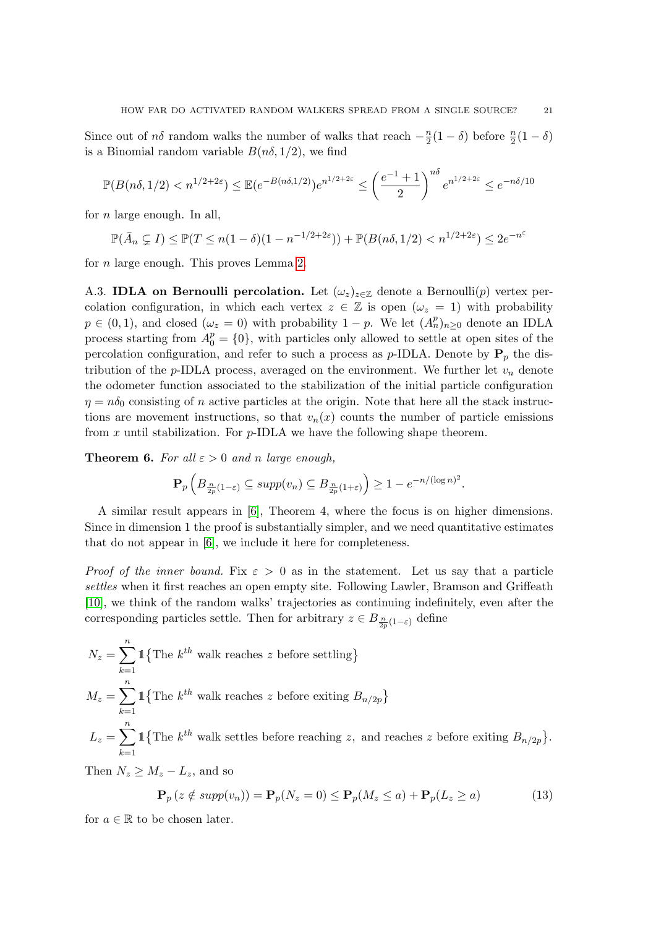Since out of  $n\delta$  random walks the number of walks that reach  $-\frac{n}{2}$  $\frac{n}{2}(1-\delta)$  before  $\frac{n}{2}(1-\delta)$ is a Binomial random variable  $B(n\delta, 1/2)$ , we find

$$
\mathbb{P}(B(n\delta, 1/2) < n^{1/2 + 2\varepsilon}) \le \mathbb{E}(e^{-B(n\delta, 1/2)})e^{n^{1/2 + 2\varepsilon}} \le \left(\frac{e^{-1} + 1}{2}\right)^{n\delta}e^{n^{1/2 + 2\varepsilon}} \le e^{-n\delta/10}
$$

for  $n$  large enough. In all,

 $\mathbb{P}(\bar{A}_n \subsetneq I) \leq \mathbb{P}(T \leq n(1-\delta)(1-n^{-1/2+2\varepsilon})) + \mathbb{P}(B(n\delta, 1/2) < n^{1/2+2\varepsilon}) \leq 2e^{-n\varepsilon}$ 

for n large enough. This proves Lemma [2.](#page-7-2)

A.3. **IDLA on Bernoulli percolation.** Let  $(\omega_z)_{z \in \mathbb{Z}}$  denote a Bernoulli $(p)$  vertex percolation configuration, in which each vertex  $z \in \mathbb{Z}$  is open  $(\omega_z = 1)$  with probability  $p \in (0,1)$ , and closed  $(\omega_z = 0)$  with probability  $1 - p$ . We let  $(A_n^p)_{n \geq 0}$  denote an IDLA process starting from  $A_0^p = \{0\}$ , with particles only allowed to settle at open sites of the percolation configuration, and refer to such a process as  $p$ -IDLA. Denote by  $P_p$  the distribution of the  $p$ -IDLA process, averaged on the environment. We further let  $v_n$  denote the odometer function associated to the stabilization of the initial particle configuration  $\eta = n\delta_0$  consisting of n active particles at the origin. Note that here all the stack instructions are movement instructions, so that  $v_n(x)$  counts the number of particle emissions from x until stabilization. For  $p$ -IDLA we have the following shape theorem.

<span id="page-20-0"></span>**Theorem 6.** For all  $\varepsilon > 0$  and n large enough,

$$
\mathbf{P}_p\left(B_{\frac{n}{2p}(1-\varepsilon)}\subseteq supp(v_n)\subseteq B_{\frac{n}{2p}(1+\varepsilon)}\right)\geq 1-e^{-n/(\log n)^2}.
$$

A similar result appears in [\[6\]](#page-23-16), Theorem 4, where the focus is on higher dimensions. Since in dimension 1 the proof is substantially simpler, and we need quantitative estimates that do not appear in [\[6\]](#page-23-16), we include it here for completeness.

*Proof of the inner bound.* Fix  $\varepsilon > 0$  as in the statement. Let us say that a particle settles when it first reaches an open empty site. Following Lawler, Bramson and Griffeath [\[10\]](#page-23-7), we think of the random walks' trajectories as continuing indefinitely, even after the corresponding particles settle. Then for arbitrary  $z \in B_{\frac{n}{2p}(1-\varepsilon)}$  define

$$
N_z = \sum_{k=1}^{n} 1 \{ \text{The } k^{th} \text{ walk reaches } z \text{ before settling} \}
$$
  

$$
M_z = \sum_{k=1}^{n} 1 \{ \text{The } k^{th} \text{ walk reaches } z \text{ before exiting } B_{n/2p} \}
$$
  

$$
L_z = \sum_{k=1}^{n} 1 \{ \text{The } k^{th} \text{ walk settles before reaching } z, \text{ and reaches } z \text{ before exiting } B_{n/2p} \}.
$$

Then  $N_z \geq M_z - L_z$ , and so

<span id="page-20-1"></span>
$$
\mathbf{P}_p(z \notin supp(v_n)) = \mathbf{P}_p(N_z = 0) \le \mathbf{P}_p(M_z \le a) + \mathbf{P}_p(L_z \ge a)
$$
\n(13)

for  $a \in \mathbb{R}$  to be chosen later.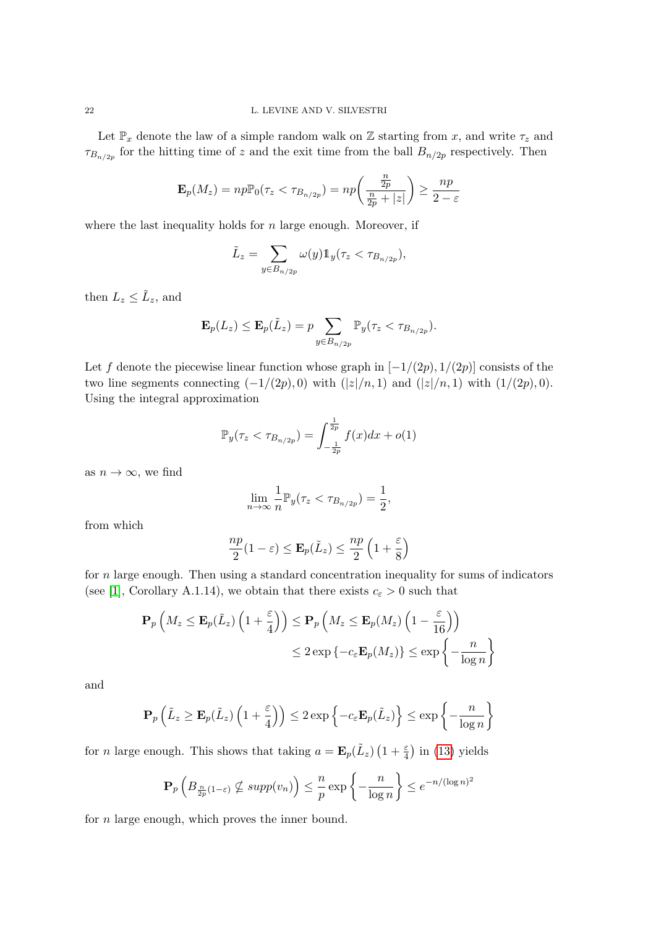Let  $\mathbb{P}_x$  denote the law of a simple random walk on Z starting from x, and write  $\tau_z$  and  $\tau_{B_{n/2p}}$  for the hitting time of z and the exit time from the ball  $B_{n/2p}$  respectively. Then

$$
\mathbf{E}_p(M_z) = np\mathbb{P}_0(\tau_z < \tau_{B_{n/2p}}) = np\left(\frac{\frac{n}{2p}}{\frac{n}{2p} + |z|}\right) \ge \frac{np}{2-\varepsilon}
$$

where the last inequality holds for  $n$  large enough. Moreover, if

$$
\tilde{L}_z = \sum_{y \in B_{n/2p}} \omega(y) 1\!\!1_y(\tau_z < \tau_{B_{n/2p}}),
$$

then  $L_z \leq \tilde{L}_z$ , and

$$
\mathbf{E}_p(L_z) \leq \mathbf{E}_p(\tilde{L}_z) = p \sum_{y \in B_{n/2p}} \mathbb{P}_y(\tau_z < \tau_{B_{n/2p}}).
$$

Let f denote the piecewise linear function whose graph in  $[-1/(2p), 1/(2p)]$  consists of the two line segments connecting  $(-1/(2p), 0)$  with  $(|z|/n, 1)$  and  $(|z|/n, 1)$  with  $(1/(2p), 0)$ . Using the integral approximation

$$
\mathbb{P}_y(\tau_z < \tau_{B_{n/2p}}) = \int_{-\frac{1}{2p}}^{\frac{1}{2p}} f(x) dx + o(1)
$$

as  $n \to \infty$ , we find

$$
\lim_{n \to \infty} \frac{1}{n} \mathbb{P}_y(\tau_z < \tau_{B_{n/2p}}) = \frac{1}{2},
$$

from which

$$
\frac{np}{2}(1-\varepsilon) \le \mathbf{E}_p(\tilde{L}_z) \le \frac{np}{2}\left(1+\frac{\varepsilon}{8}\right)
$$

for  $n$  large enough. Then using a standard concentration inequality for sums of indicators (see [\[1\]](#page-23-17), Corollary A.1.14), we obtain that there exists  $c_{\varepsilon} > 0$  such that

$$
\mathbf{P}_p\left(M_z \leq \mathbf{E}_p(\tilde{L}_z) \left(1 + \frac{\varepsilon}{4}\right)\right) \leq \mathbf{P}_p\left(M_z \leq \mathbf{E}_p(M_z) \left(1 - \frac{\varepsilon}{16}\right)\right)
$$
  

$$
\leq 2 \exp\left\{-c_{\varepsilon} \mathbf{E}_p(M_z)\right\} \leq \exp\left\{-\frac{n}{\log n}\right\}
$$

and

$$
\mathbf{P}_p\left(\tilde{L}_z \geq \mathbf{E}_p(\tilde{L}_z) \left(1 + \frac{\varepsilon}{4}\right)\right) \leq 2 \exp\left\{-c_{\varepsilon} \mathbf{E}_p(\tilde{L}_z)\right\} \leq \exp\left\{-\frac{n}{\log n}\right\}
$$

for *n* large enough. This shows that taking  $a = \mathbf{E}_p(\tilde{L}_z) \left(1 + \frac{\varepsilon}{4}\right)$  in [\(13\)](#page-20-1) yields

$$
\mathbf{P}_p\left(B_{\frac{n}{2p}(1-\varepsilon)}\nsubseteq \text{supp}(v_n)\right) \leq \frac{n}{p}\exp\left\{-\frac{n}{\log n}\right\} \leq e^{-n/(\log n)^2}
$$

for  $n$  large enough, which proves the inner bound.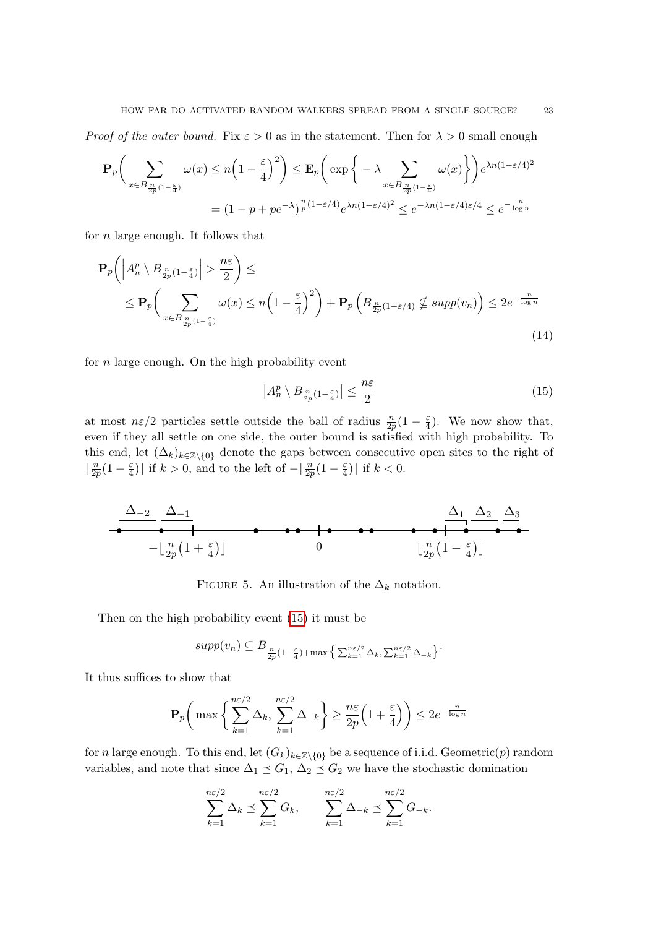*Proof of the outer bound.* Fix  $\varepsilon > 0$  as in the statement. Then for  $\lambda > 0$  small enough

$$
\mathbf{P}_p\bigg(\sum_{x \in B_{\frac{n}{2p}(1-\frac{\varepsilon}{4})}} \omega(x) \le n\left(1 - \frac{\varepsilon}{4}\right)^2\bigg) \le \mathbf{E}_p\bigg(\exp\bigg\{-\lambda \sum_{x \in B_{\frac{n}{2p}(1-\frac{\varepsilon}{4})}} \omega(x)\bigg\}\bigg)e^{\lambda n(1-\varepsilon/4)^2}
$$

$$
= (1 - p + pe^{-\lambda})^{\frac{n}{p}(1-\varepsilon/4)}e^{\lambda n(1-\varepsilon/4)^2} \le e^{-\lambda n(1-\varepsilon/4)\varepsilon/4} \le e^{-\frac{n}{\log n}}
$$

for  $n$  large enough. It follows that

$$
\mathbf{P}_{p}\left(\left|A_{n}^{p}\setminus B_{\frac{n}{2p}(1-\frac{\varepsilon}{4})}\right|>\frac{n\varepsilon}{2}\right)\leq \sum_{x\in B_{\frac{n}{2p}(1-\frac{\varepsilon}{4})}}\omega(x)\leq n\left(1-\frac{\varepsilon}{4}\right)^{2}\right)+\mathbf{P}_{p}\left(B_{\frac{n}{2p}(1-\varepsilon/4)}\nsubseteq supp(v_{n})\right)\leq 2e^{-\frac{n}{\log n}}\tag{14}
$$

for  $n$  large enough. On the high probability event

<span id="page-22-0"></span>
$$
\left|A_n^p \setminus B_{\frac{n}{2p}(1-\frac{\varepsilon}{4})}\right| \le \frac{n\varepsilon}{2} \tag{15}
$$

at most  $n\varepsilon/2$  particles settle outside the ball of radius  $\frac{n}{2p}(1-\frac{\varepsilon}{4})$  $\frac{\varepsilon}{4}$ ). We now show that, even if they all settle on one side, the outer bound is satisfied with high probability. To this end, let  $(\Delta_k)_{k\in\mathbb{Z}\setminus\{0\}}$  denote the gaps between consecutive open sites to the right of  $\frac{n}{2}$  $\frac{n}{2p}(1-\frac{\varepsilon}{4})$  $\frac{\varepsilon}{4}$ ) if  $k > 0$ , and to the left of  $-\left\lfloor \frac{n}{2p}(1 - \frac{\varepsilon}{4}\right\rfloor)$  $\frac{\varepsilon}{4}$ ] if  $k < 0$ .



FIGURE 5. An illustration of the  $\Delta_k$  notation.

Then on the high probability event [\(15\)](#page-22-0) it must be

$$
supp(v_n) \subseteq B_{\frac{n}{2p}(1-\frac{\varepsilon}{4})+\max\left\{\sum_{k=1}^{n\varepsilon/2} \Delta_k, \sum_{k=1}^{n\varepsilon/2} \Delta_{-k}\right\}}.
$$

It thus suffices to show that

$$
\mathbf{P}_p\bigg(\max\bigg\{\sum_{k=1}^{n\varepsilon/2}\Delta_k,\sum_{k=1}^{n\varepsilon/2}\Delta_{-k}\bigg\}\geq \frac{n\varepsilon}{2p}\bigg(1+\frac{\varepsilon}{4}\bigg)\bigg)\leq 2e^{-\frac{n}{\log n}}
$$

for n large enough. To this end, let  $(G_k)_{k\in\mathbb{Z}\setminus\{0\}}$  be a sequence of i.i.d. Geometric(p) random variables, and note that since  $\Delta_1 \preceq G_1$ ,  $\Delta_2 \preceq G_2$  we have the stochastic domination

$$
\sum_{k=1}^{n\varepsilon/2} \Delta_k \preceq \sum_{k=1}^{n\varepsilon/2} G_k, \qquad \sum_{k=1}^{n\varepsilon/2} \Delta_{-k} \preceq \sum_{k=1}^{n\varepsilon/2} G_{-k}.
$$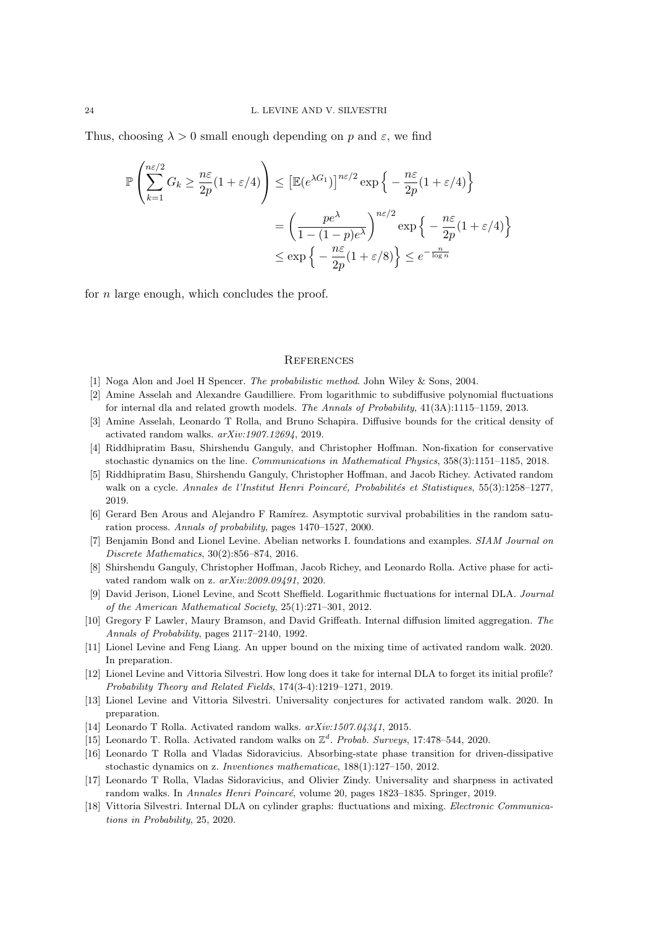Thus, choosing  $\lambda > 0$  small enough depending on p and  $\varepsilon$ , we find

$$
\mathbb{P}\left(\sum_{k=1}^{n\varepsilon/2} G_k \ge \frac{n\varepsilon}{2p} (1 + \varepsilon/4) \right) \le \left[ \mathbb{E}(e^{\lambda G_1}) \right]^{n\varepsilon/2} \exp\left\{ -\frac{n\varepsilon}{2p} (1 + \varepsilon/4) \right\}
$$

$$
= \left( \frac{pe^{\lambda}}{1 - (1 - p)e^{\lambda}} \right)^{n\varepsilon/2} \exp\left\{ -\frac{n\varepsilon}{2p} (1 + \varepsilon/4) \right\}
$$

$$
\le \exp\left\{ -\frac{n\varepsilon}{2p} (1 + \varepsilon/8) \right\} \le e^{-\frac{n}{\log n}}
$$

for  $n$  large enough, which concludes the proof.

# **REFERENCES**

- <span id="page-23-17"></span>[1] Noga Alon and Joel H Spencer. The probabilistic method. John Wiley & Sons, 2004.
- <span id="page-23-8"></span>[2] Amine Asselah and Alexandre Gaudilliere. From logarithmic to subdiffusive polynomial fluctuations for internal dla and related growth models. The Annals of Probability, 41(3A):1115–1159, 2013.
- <span id="page-23-12"></span>[3] Amine Asselah, Leonardo T Rolla, and Bruno Schapira. Diffusive bounds for the critical density of activated random walks. arXiv:1907.12694, 2019.
- <span id="page-23-13"></span>[4] Riddhipratim Basu, Shirshendu Ganguly, and Christopher Hoffman. Non-fixation for conservative stochastic dynamics on the line. Communications in Mathematical Physics, 358(3):1151–1185, 2018.
- <span id="page-23-5"></span>[5] Riddhipratim Basu, Shirshendu Ganguly, Christopher Hoffman, and Jacob Richey. Activated random walk on a cycle. Annales de l'Institut Henri Poincaré, Probabilités et Statistiques, 55(3):1258–1277, 2019.
- <span id="page-23-16"></span>[6] Gerard Ben Arous and Alejandro F Ramírez. Asymptotic survival probabilities in the random saturation process. Annals of probability, pages 1470–1527, 2000.
- <span id="page-23-15"></span>[7] Benjamin Bond and Lionel Levine. Abelian networks I. foundations and examples. SIAM Journal on Discrete Mathematics, 30(2):856–874, 2016.
- <span id="page-23-6"></span>[8] Shirshendu Ganguly, Christopher Hoffman, Jacob Richey, and Leonardo Rolla. Active phase for activated random walk on z. arXiv:2009.09491, 2020.
- <span id="page-23-9"></span>[9] David Jerison, Lionel Levine, and Scott Sheffield. Logarithmic fluctuations for internal DLA. Journal of the American Mathematical Society, 25(1):271–301, 2012.
- <span id="page-23-7"></span>[10] Gregory F Lawler, Maury Bramson, and David Griffeath. Internal diffusion limited aggregation. The Annals of Probability, pages 2117–2140, 1992.
- <span id="page-23-3"></span>[11] Lionel Levine and Feng Liang. An upper bound on the mixing time of activated random walk. 2020. In preparation.
- <span id="page-23-10"></span>[12] Lionel Levine and Vittoria Silvestri. How long does it take for internal DLA to forget its initial profile? Probability Theory and Related Fields, 174(3-4):1219–1271, 2019.
- <span id="page-23-4"></span>[13] Lionel Levine and Vittoria Silvestri. Universality conjectures for activated random walk. 2020. In preparation.
- <span id="page-23-14"></span>[14] Leonardo T Rolla. Activated random walks. arXiv:1507.04341, 2015.
- <span id="page-23-1"></span>[15] Leonardo T. Rolla. Activated random walks on  $\mathbb{Z}^d$ . Probab. Surveys, 17:478-544, 2020.
- <span id="page-23-0"></span>[16] Leonardo T Rolla and Vladas Sidoravicius. Absorbing-state phase transition for driven-dissipative stochastic dynamics on z. Inventiones mathematicae, 188(1):127–150, 2012.
- <span id="page-23-2"></span>[17] Leonardo T Rolla, Vladas Sidoravicius, and Olivier Zindy. Universality and sharpness in activated random walks. In Annales Henri Poincaré, volume 20, pages 1823–1835. Springer, 2019.
- <span id="page-23-11"></span>[18] Vittoria Silvestri. Internal DLA on cylinder graphs: fluctuations and mixing. Electronic Communications in Probability, 25, 2020.